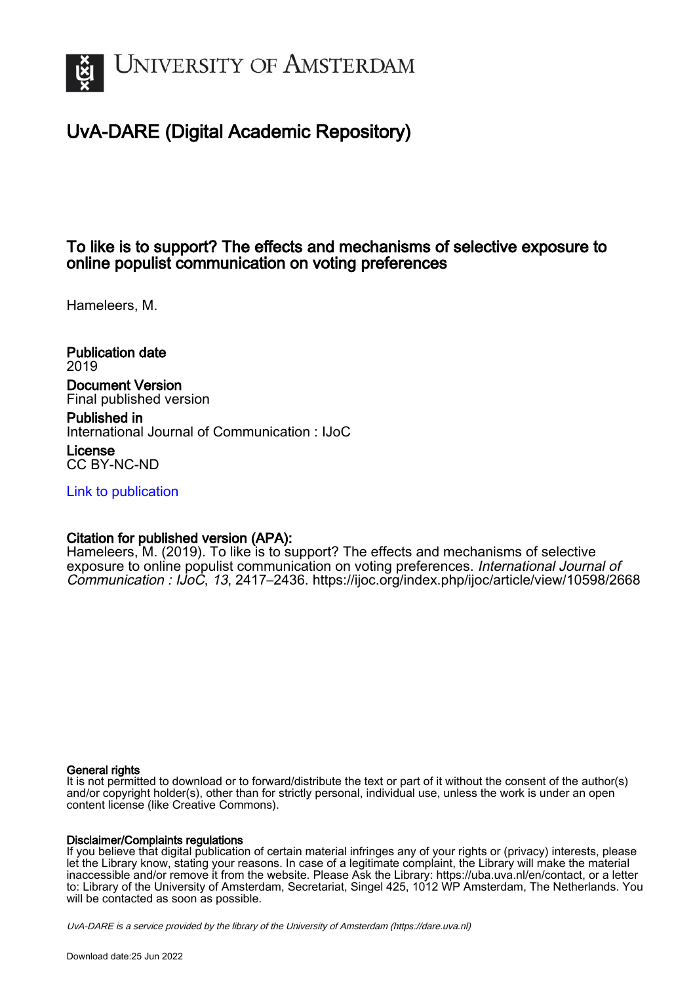

# UvA-DARE (Digital Academic Repository)

# To like is to support? The effects and mechanisms of selective exposure to online populist communication on voting preferences

Hameleers, M.

Publication date 2019 Document Version Final published version

Published in International Journal of Communication : IJoC

License CC BY-NC-ND

[Link to publication](https://dare.uva.nl/personal/pure/en/publications/to-like-is-to-support-the-effects-and-mechanisms-of-selective-exposure-to-online-populist-communication-on-voting-preferences(1e778d72-7bed-4daa-a8bc-d14860e9e589).html)

## Citation for published version (APA):

Hameleers, M. (2019). To like is to support? The effects and mechanisms of selective exposure to online populist communication on voting preferences. International Journal of Communication : IJoC, 13, 2417–2436. <https://ijoc.org/index.php/ijoc/article/view/10598/2668>

### General rights

It is not permitted to download or to forward/distribute the text or part of it without the consent of the author(s) and/or copyright holder(s), other than for strictly personal, individual use, unless the work is under an open content license (like Creative Commons).

### Disclaimer/Complaints regulations

If you believe that digital publication of certain material infringes any of your rights or (privacy) interests, please let the Library know, stating your reasons. In case of a legitimate complaint, the Library will make the material inaccessible and/or remove it from the website. Please Ask the Library: https://uba.uva.nl/en/contact, or a letter to: Library of the University of Amsterdam, Secretariat, Singel 425, 1012 WP Amsterdam, The Netherlands. You will be contacted as soon as possible.

UvA-DARE is a service provided by the library of the University of Amsterdam (http*s*://dare.uva.nl)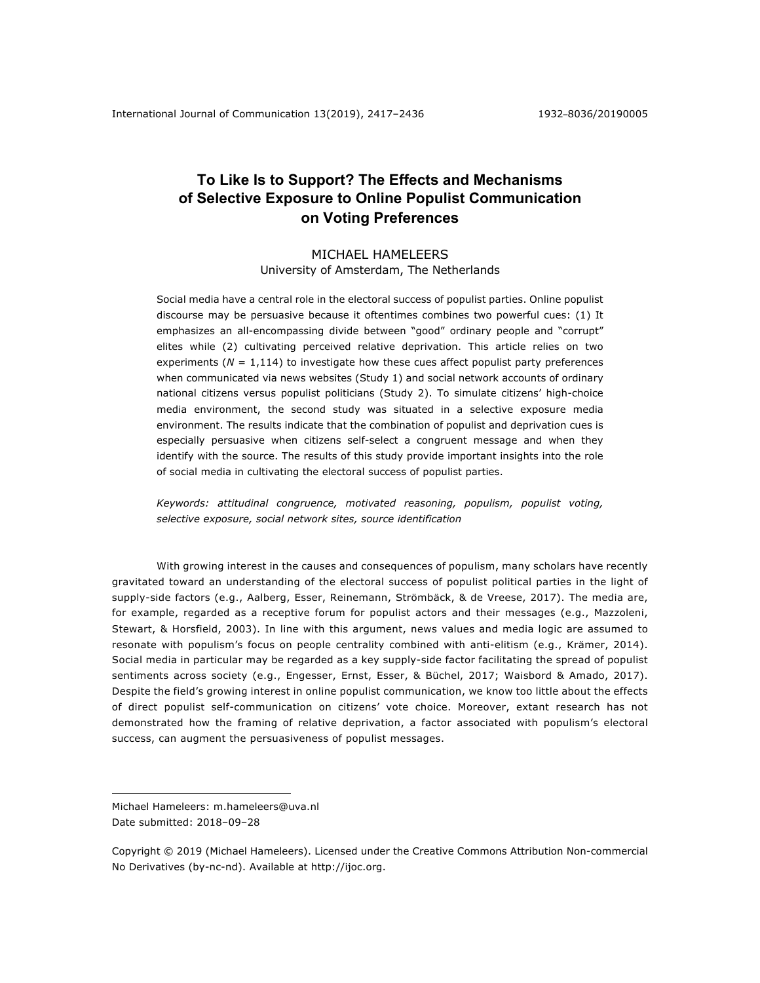## **To Like Is to Support? The Effects and Mechanisms of Selective Exposure to Online Populist Communication on Voting Preferences**

# MICHAEL HAMELEERS

University of Amsterdam, The Netherlands

Social media have a central role in the electoral success of populist parties. Online populist discourse may be persuasive because it oftentimes combines two powerful cues: (1) It emphasizes an all-encompassing divide between "good" ordinary people and "corrupt" elites while (2) cultivating perceived relative deprivation. This article relies on two experiments ( $N = 1,114$ ) to investigate how these cues affect populist party preferences when communicated via news websites (Study 1) and social network accounts of ordinary national citizens versus populist politicians (Study 2). To simulate citizens' high-choice media environment, the second study was situated in a selective exposure media environment. The results indicate that the combination of populist and deprivation cues is especially persuasive when citizens self-select a congruent message and when they identify with the source. The results of this study provide important insights into the role of social media in cultivating the electoral success of populist parties.

*Keywords: attitudinal congruence, motivated reasoning, populism, populist voting, selective exposure, social network sites, source identification*

With growing interest in the causes and consequences of populism, many scholars have recently gravitated toward an understanding of the electoral success of populist political parties in the light of supply-side factors (e.g., Aalberg, Esser, Reinemann, Strömbäck, & de Vreese, 2017). The media are, for example, regarded as a receptive forum for populist actors and their messages (e.g., Mazzoleni, Stewart, & Horsfield, 2003). In line with this argument, news values and media logic are assumed to resonate with populism's focus on people centrality combined with anti-elitism (e.g., Krämer, 2014). Social media in particular may be regarded as a key supply-side factor facilitating the spread of populist sentiments across society (e.g., Engesser, Ernst, Esser, & Büchel, 2017; Waisbord & Amado, 2017). Despite the field's growing interest in online populist communication, we know too little about the effects of direct populist self-communication on citizens' vote choice. Moreover, extant research has not demonstrated how the framing of relative deprivation, a factor associated with populism's electoral success, can augment the persuasiveness of populist messages.

1

Michael Hameleers: m.hameleers@uva.nl Date submitted: 2018–09–28

Copyright © 2019 (Michael Hameleers). Licensed under the Creative Commons Attribution Non-commercial No Derivatives (by-nc-nd). Available at http://ijoc.org.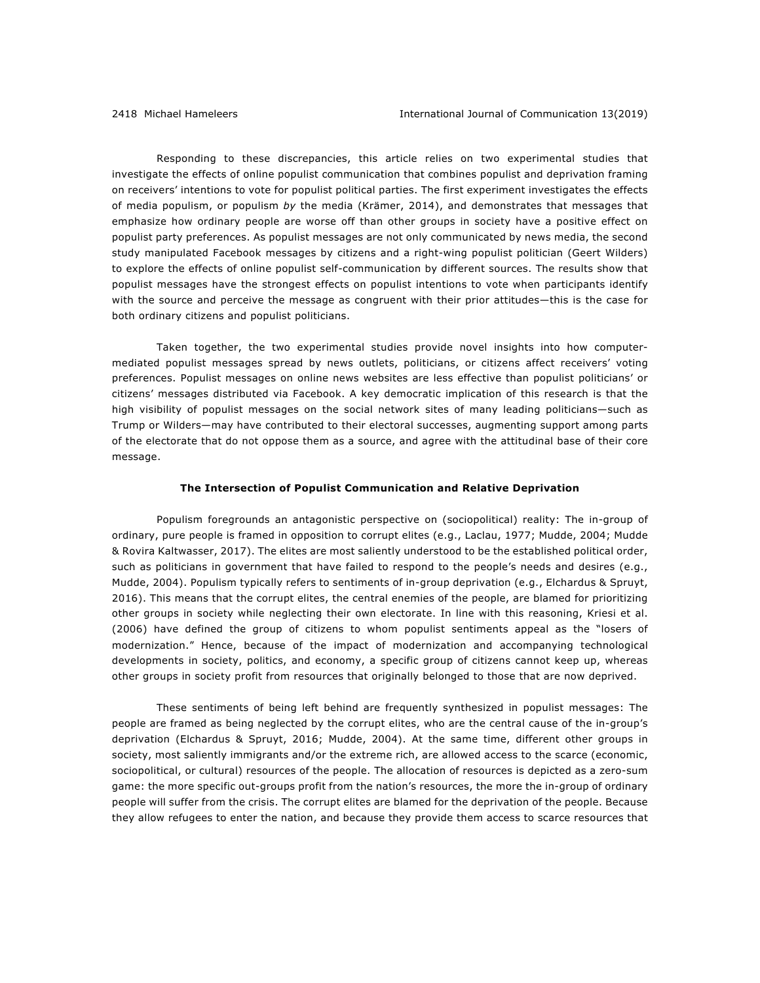Responding to these discrepancies, this article relies on two experimental studies that investigate the effects of online populist communication that combines populist and deprivation framing on receivers' intentions to vote for populist political parties. The first experiment investigates the effects of media populism, or populism *by* the media (Krämer, 2014), and demonstrates that messages that emphasize how ordinary people are worse off than other groups in society have a positive effect on populist party preferences. As populist messages are not only communicated by news media, the second study manipulated Facebook messages by citizens and a right-wing populist politician (Geert Wilders) to explore the effects of online populist self-communication by different sources. The results show that populist messages have the strongest effects on populist intentions to vote when participants identify with the source and perceive the message as congruent with their prior attitudes—this is the case for both ordinary citizens and populist politicians.

Taken together, the two experimental studies provide novel insights into how computermediated populist messages spread by news outlets, politicians, or citizens affect receivers' voting preferences. Populist messages on online news websites are less effective than populist politicians' or citizens' messages distributed via Facebook. A key democratic implication of this research is that the high visibility of populist messages on the social network sites of many leading politicians—such as Trump or Wilders—may have contributed to their electoral successes, augmenting support among parts of the electorate that do not oppose them as a source, and agree with the attitudinal base of their core message.

#### **The Intersection of Populist Communication and Relative Deprivation**

Populism foregrounds an antagonistic perspective on (sociopolitical) reality: The in-group of ordinary, pure people is framed in opposition to corrupt elites (e.g., Laclau, 1977; Mudde, 2004; Mudde & Rovira Kaltwasser, 2017). The elites are most saliently understood to be the established political order, such as politicians in government that have failed to respond to the people's needs and desires (e.g., Mudde, 2004). Populism typically refers to sentiments of in-group deprivation (e.g., Elchardus & Spruyt, 2016). This means that the corrupt elites, the central enemies of the people, are blamed for prioritizing other groups in society while neglecting their own electorate. In line with this reasoning, Kriesi et al. (2006) have defined the group of citizens to whom populist sentiments appeal as the "losers of modernization." Hence, because of the impact of modernization and accompanying technological developments in society, politics, and economy, a specific group of citizens cannot keep up, whereas other groups in society profit from resources that originally belonged to those that are now deprived.

These sentiments of being left behind are frequently synthesized in populist messages: The people are framed as being neglected by the corrupt elites, who are the central cause of the in-group's deprivation (Elchardus & Spruyt, 2016; Mudde, 2004). At the same time, different other groups in society, most saliently immigrants and/or the extreme rich, are allowed access to the scarce (economic, sociopolitical, or cultural) resources of the people. The allocation of resources is depicted as a zero-sum game: the more specific out-groups profit from the nation's resources, the more the in-group of ordinary people will suffer from the crisis. The corrupt elites are blamed for the deprivation of the people. Because they allow refugees to enter the nation, and because they provide them access to scarce resources that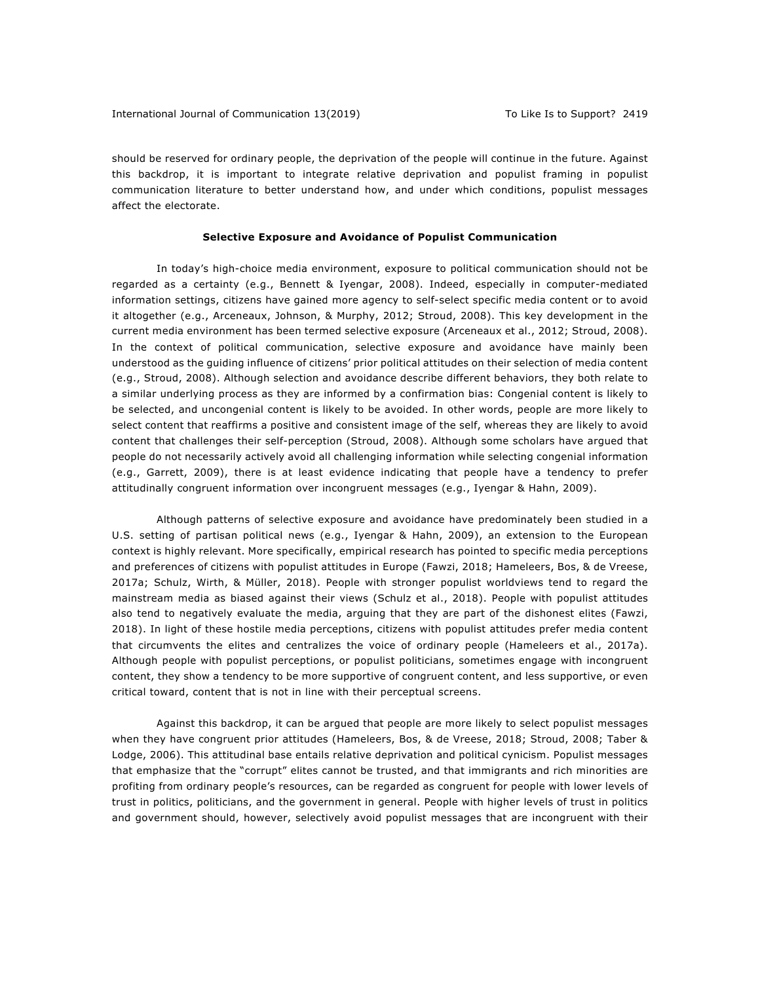should be reserved for ordinary people, the deprivation of the people will continue in the future. Against this backdrop, it is important to integrate relative deprivation and populist framing in populist communication literature to better understand how, and under which conditions, populist messages affect the electorate.

#### **Selective Exposure and Avoidance of Populist Communication**

In today's high-choice media environment, exposure to political communication should not be regarded as a certainty (e.g., Bennett & Iyengar, 2008). Indeed, especially in computer-mediated information settings, citizens have gained more agency to self-select specific media content or to avoid it altogether (e.g., Arceneaux, Johnson, & Murphy, 2012; Stroud, 2008). This key development in the current media environment has been termed selective exposure (Arceneaux et al., 2012; Stroud, 2008). In the context of political communication, selective exposure and avoidance have mainly been understood as the guiding influence of citizens' prior political attitudes on their selection of media content (e.g., Stroud, 2008). Although selection and avoidance describe different behaviors, they both relate to a similar underlying process as they are informed by a confirmation bias: Congenial content is likely to be selected, and uncongenial content is likely to be avoided. In other words, people are more likely to select content that reaffirms a positive and consistent image of the self, whereas they are likely to avoid content that challenges their self-perception (Stroud, 2008). Although some scholars have argued that people do not necessarily actively avoid all challenging information while selecting congenial information (e.g., Garrett, 2009), there is at least evidence indicating that people have a tendency to prefer attitudinally congruent information over incongruent messages (e.g., Iyengar & Hahn, 2009).

Although patterns of selective exposure and avoidance have predominately been studied in a U.S. setting of partisan political news (e.g., Iyengar & Hahn, 2009), an extension to the European context is highly relevant. More specifically, empirical research has pointed to specific media perceptions and preferences of citizens with populist attitudes in Europe (Fawzi, 2018; Hameleers, Bos, & de Vreese, 2017a; Schulz, Wirth, & Müller, 2018). People with stronger populist worldviews tend to regard the mainstream media as biased against their views (Schulz et al., 2018). People with populist attitudes also tend to negatively evaluate the media, arguing that they are part of the dishonest elites (Fawzi, 2018). In light of these hostile media perceptions, citizens with populist attitudes prefer media content that circumvents the elites and centralizes the voice of ordinary people (Hameleers et al., 2017a). Although people with populist perceptions, or populist politicians, sometimes engage with incongruent content, they show a tendency to be more supportive of congruent content, and less supportive, or even critical toward, content that is not in line with their perceptual screens.

Against this backdrop, it can be argued that people are more likely to select populist messages when they have congruent prior attitudes (Hameleers, Bos, & de Vreese, 2018; Stroud, 2008; Taber & Lodge, 2006). This attitudinal base entails relative deprivation and political cynicism. Populist messages that emphasize that the "corrupt" elites cannot be trusted, and that immigrants and rich minorities are profiting from ordinary people's resources, can be regarded as congruent for people with lower levels of trust in politics, politicians, and the government in general. People with higher levels of trust in politics and government should, however, selectively avoid populist messages that are incongruent with their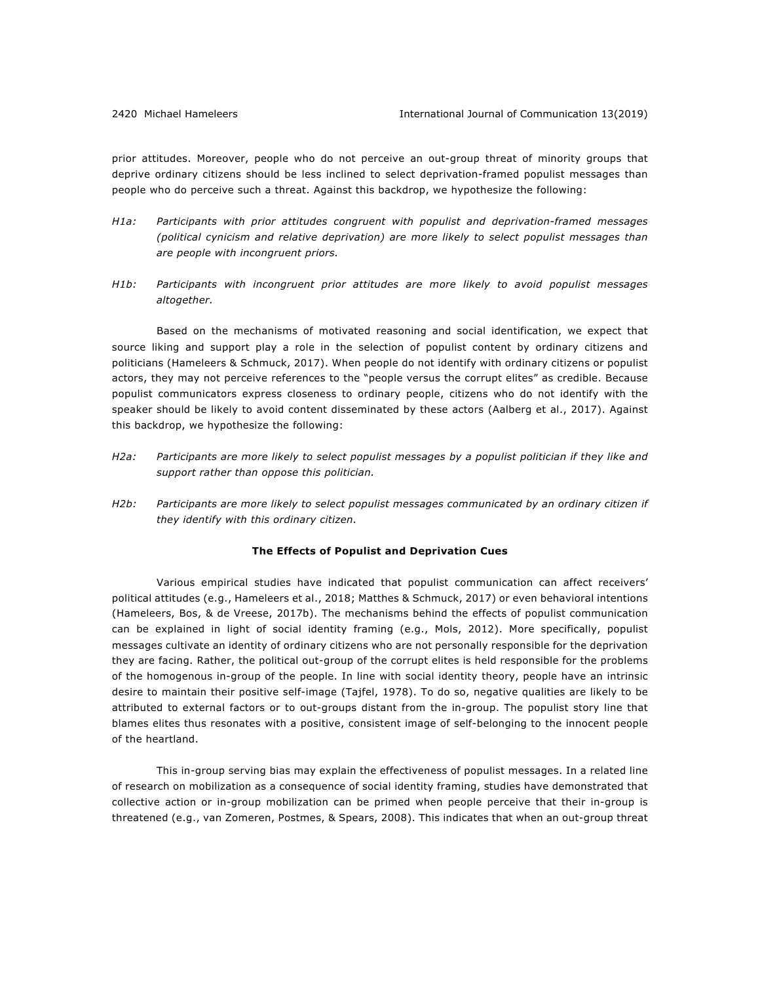prior attitudes. Moreover, people who do not perceive an out-group threat of minority groups that deprive ordinary citizens should be less inclined to select deprivation-framed populist messages than people who do perceive such a threat. Against this backdrop, we hypothesize the following:

- *H1a: Participants with prior attitudes congruent with populist and deprivation-framed messages (political cynicism and relative deprivation) are more likely to select populist messages than are people with incongruent priors.*
- *H1b: Participants with incongruent prior attitudes are more likely to avoid populist messages altogether.*

Based on the mechanisms of motivated reasoning and social identification, we expect that source liking and support play a role in the selection of populist content by ordinary citizens and politicians (Hameleers & Schmuck, 2017). When people do not identify with ordinary citizens or populist actors, they may not perceive references to the "people versus the corrupt elites" as credible. Because populist communicators express closeness to ordinary people, citizens who do not identify with the speaker should be likely to avoid content disseminated by these actors (Aalberg et al., 2017). Against this backdrop, we hypothesize the following:

- *H2a: Participants are more likely to select populist messages by a populist politician if they like and support rather than oppose this politician.*
- *H2b: Participants are more likely to select populist messages communicated by an ordinary citizen if they identify with this ordinary citizen.*

#### **The Effects of Populist and Deprivation Cues**

Various empirical studies have indicated that populist communication can affect receivers' political attitudes (e.g., Hameleers et al., 2018; Matthes & Schmuck, 2017) or even behavioral intentions (Hameleers, Bos, & de Vreese, 2017b). The mechanisms behind the effects of populist communication can be explained in light of social identity framing (e.g., Mols, 2012). More specifically, populist messages cultivate an identity of ordinary citizens who are not personally responsible for the deprivation they are facing. Rather, the political out-group of the corrupt elites is held responsible for the problems of the homogenous in-group of the people. In line with social identity theory, people have an intrinsic desire to maintain their positive self-image (Tajfel, 1978). To do so, negative qualities are likely to be attributed to external factors or to out-groups distant from the in-group. The populist story line that blames elites thus resonates with a positive, consistent image of self-belonging to the innocent people of the heartland.

This in-group serving bias may explain the effectiveness of populist messages. In a related line of research on mobilization as a consequence of social identity framing, studies have demonstrated that collective action or in-group mobilization can be primed when people perceive that their in-group is threatened (e.g., van Zomeren, Postmes, & Spears, 2008). This indicates that when an out-group threat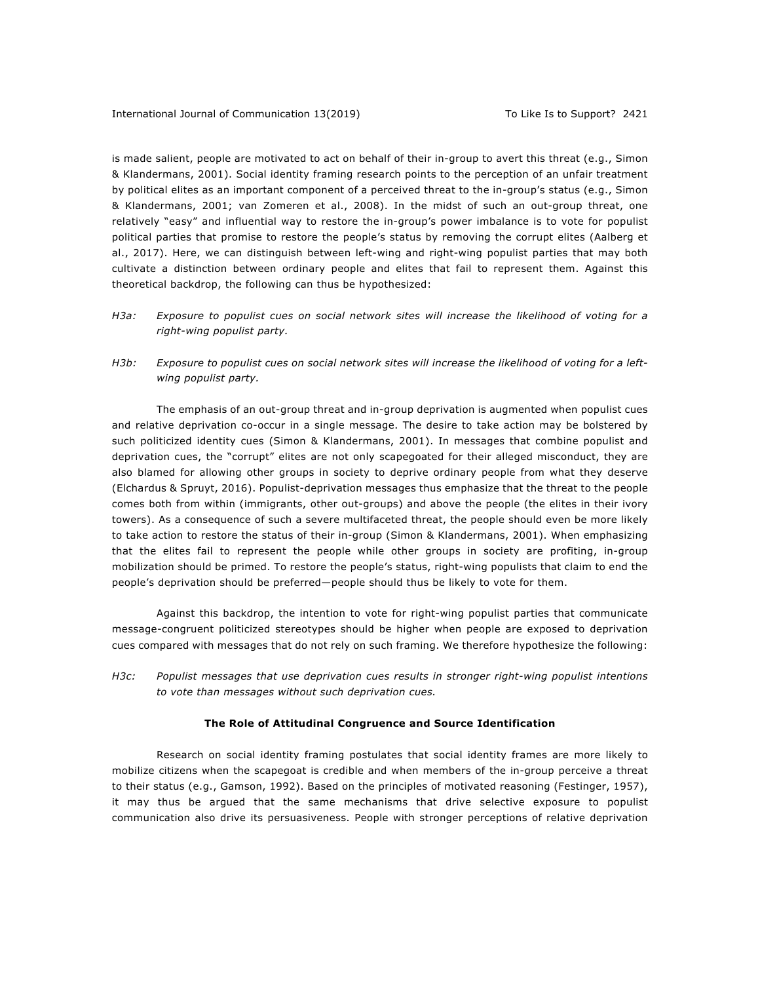is made salient, people are motivated to act on behalf of their in-group to avert this threat (e.g., Simon & Klandermans, 2001). Social identity framing research points to the perception of an unfair treatment by political elites as an important component of a perceived threat to the in-group's status (e.g., Simon & Klandermans, 2001; van Zomeren et al., 2008). In the midst of such an out-group threat, one relatively "easy" and influential way to restore the in-group's power imbalance is to vote for populist political parties that promise to restore the people's status by removing the corrupt elites (Aalberg et al., 2017). Here, we can distinguish between left-wing and right-wing populist parties that may both cultivate a distinction between ordinary people and elites that fail to represent them. Against this theoretical backdrop, the following can thus be hypothesized:

- *H3a: Exposure to populist cues on social network sites will increase the likelihood of voting for a right-wing populist party.*
- *H3b: Exposure to populist cues on social network sites will increase the likelihood of voting for a leftwing populist party.*

The emphasis of an out-group threat and in-group deprivation is augmented when populist cues and relative deprivation co-occur in a single message. The desire to take action may be bolstered by such politicized identity cues (Simon & Klandermans, 2001). In messages that combine populist and deprivation cues, the "corrupt" elites are not only scapegoated for their alleged misconduct, they are also blamed for allowing other groups in society to deprive ordinary people from what they deserve (Elchardus & Spruyt, 2016). Populist-deprivation messages thus emphasize that the threat to the people comes both from within (immigrants, other out-groups) and above the people (the elites in their ivory towers). As a consequence of such a severe multifaceted threat, the people should even be more likely to take action to restore the status of their in-group (Simon & Klandermans, 2001). When emphasizing that the elites fail to represent the people while other groups in society are profiting, in-group mobilization should be primed. To restore the people's status, right-wing populists that claim to end the people's deprivation should be preferred—people should thus be likely to vote for them.

Against this backdrop, the intention to vote for right-wing populist parties that communicate message-congruent politicized stereotypes should be higher when people are exposed to deprivation cues compared with messages that do not rely on such framing. We therefore hypothesize the following:

*H3c: Populist messages that use deprivation cues results in stronger right-wing populist intentions to vote than messages without such deprivation cues.*

#### **The Role of Attitudinal Congruence and Source Identification**

Research on social identity framing postulates that social identity frames are more likely to mobilize citizens when the scapegoat is credible and when members of the in-group perceive a threat to their status (e.g., Gamson, 1992). Based on the principles of motivated reasoning (Festinger, 1957), it may thus be argued that the same mechanisms that drive selective exposure to populist communication also drive its persuasiveness. People with stronger perceptions of relative deprivation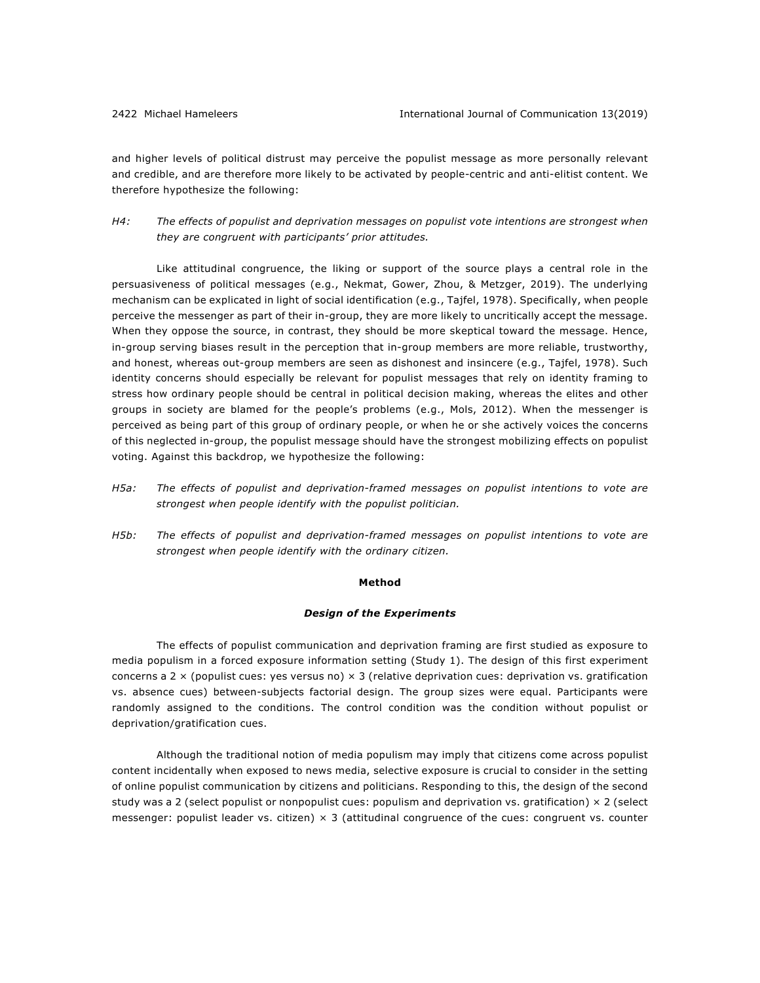and higher levels of political distrust may perceive the populist message as more personally relevant and credible, and are therefore more likely to be activated by people-centric and anti-elitist content. We therefore hypothesize the following:

*H4: The effects of populist and deprivation messages on populist vote intentions are strongest when they are congruent with participants' prior attitudes.*

Like attitudinal congruence, the liking or support of the source plays a central role in the persuasiveness of political messages (e.g., Nekmat, Gower, Zhou, & Metzger, 2019). The underlying mechanism can be explicated in light of social identification (e.g., Tajfel, 1978). Specifically, when people perceive the messenger as part of their in-group, they are more likely to uncritically accept the message. When they oppose the source, in contrast, they should be more skeptical toward the message. Hence, in-group serving biases result in the perception that in-group members are more reliable, trustworthy, and honest, whereas out-group members are seen as dishonest and insincere (e.g., Tajfel, 1978). Such identity concerns should especially be relevant for populist messages that rely on identity framing to stress how ordinary people should be central in political decision making, whereas the elites and other groups in society are blamed for the people's problems (e.g., Mols, 2012). When the messenger is perceived as being part of this group of ordinary people, or when he or she actively voices the concerns of this neglected in-group, the populist message should have the strongest mobilizing effects on populist voting. Against this backdrop, we hypothesize the following:

- *H5a: The effects of populist and deprivation-framed messages on populist intentions to vote are strongest when people identify with the populist politician.*
- *H5b: The effects of populist and deprivation-framed messages on populist intentions to vote are strongest when people identify with the ordinary citizen.*

#### **Method**

#### *Design of the Experiments*

The effects of populist communication and deprivation framing are first studied as exposure to media populism in a forced exposure information setting (Study 1). The design of this first experiment concerns a 2  $\times$  (populist cues: yes versus no)  $\times$  3 (relative deprivation cues: deprivation vs. gratification vs. absence cues) between-subjects factorial design. The group sizes were equal. Participants were randomly assigned to the conditions. The control condition was the condition without populist or deprivation/gratification cues.

Although the traditional notion of media populism may imply that citizens come across populist content incidentally when exposed to news media, selective exposure is crucial to consider in the setting of online populist communication by citizens and politicians. Responding to this, the design of the second study was a 2 (select populist or nonpopulist cues: populism and deprivation vs. gratification)  $\times$  2 (select messenger: populist leader vs. citizen)  $\times$  3 (attitudinal congruence of the cues: congruent vs. counter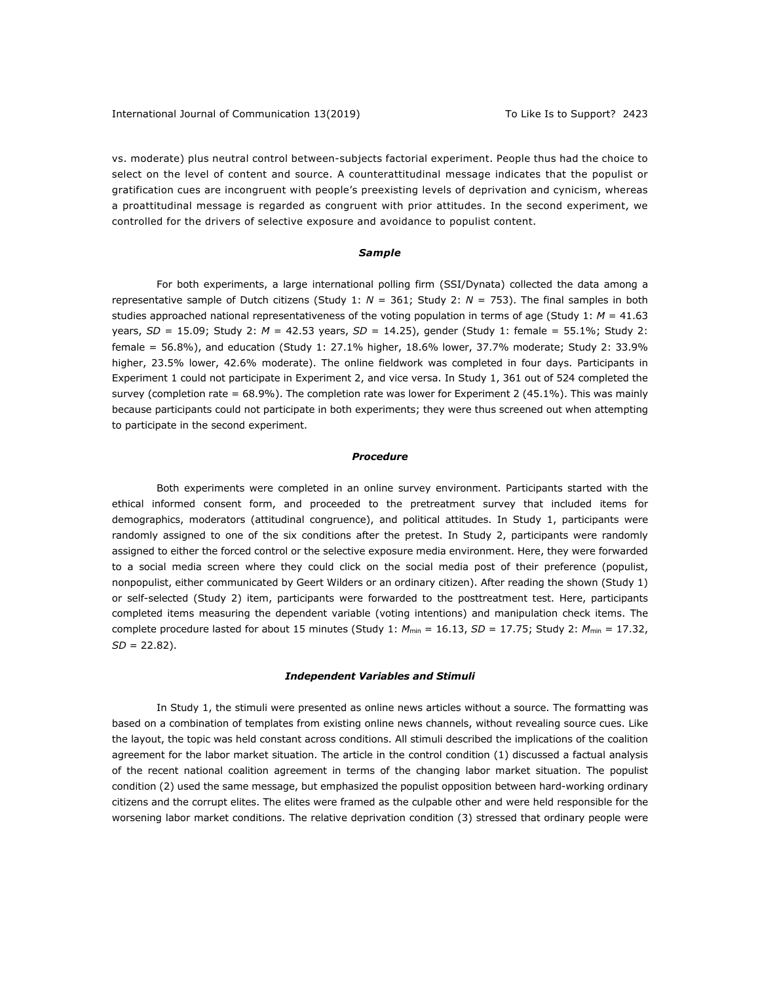vs. moderate) plus neutral control between-subjects factorial experiment. People thus had the choice to select on the level of content and source. A counterattitudinal message indicates that the populist or gratification cues are incongruent with people's preexisting levels of deprivation and cynicism, whereas a proattitudinal message is regarded as congruent with prior attitudes. In the second experiment, we controlled for the drivers of selective exposure and avoidance to populist content.

#### *Sample*

For both experiments, a large international polling firm (SSI/Dynata) collected the data among a representative sample of Dutch citizens (Study 1: *N* = 361; Study 2: *N* = 753). The final samples in both studies approached national representativeness of the voting population in terms of age (Study 1: *M* = 41.63 years, *SD* = 15.09; Study 2: *M* = 42.53 years, *SD* = 14.25), gender (Study 1: female = 55.1%; Study 2: female = 56.8%), and education (Study 1: 27.1% higher, 18.6% lower, 37.7% moderate; Study 2: 33.9% higher, 23.5% lower, 42.6% moderate). The online fieldwork was completed in four days. Participants in Experiment 1 could not participate in Experiment 2, and vice versa. In Study 1, 361 out of 524 completed the survey (completion rate =  $68.9\%$ ). The completion rate was lower for Experiment 2 (45.1%). This was mainly because participants could not participate in both experiments; they were thus screened out when attempting to participate in the second experiment.

#### *Procedure*

Both experiments were completed in an online survey environment. Participants started with the ethical informed consent form, and proceeded to the pretreatment survey that included items for demographics, moderators (attitudinal congruence), and political attitudes. In Study 1, participants were randomly assigned to one of the six conditions after the pretest. In Study 2, participants were randomly assigned to either the forced control or the selective exposure media environment. Here, they were forwarded to a social media screen where they could click on the social media post of their preference (populist, nonpopulist, either communicated by Geert Wilders or an ordinary citizen). After reading the shown (Study 1) or self-selected (Study 2) item, participants were forwarded to the posttreatment test. Here, participants completed items measuring the dependent variable (voting intentions) and manipulation check items. The complete procedure lasted for about 15 minutes (Study 1:  $M_{min} = 16.13$ ,  $SD = 17.75$ ; Study 2:  $M_{min} = 17.32$ , *SD* = 22.82).

#### *Independent Variables and Stimuli*

In Study 1, the stimuli were presented as online news articles without a source. The formatting was based on a combination of templates from existing online news channels, without revealing source cues. Like the layout, the topic was held constant across conditions. All stimuli described the implications of the coalition agreement for the labor market situation. The article in the control condition (1) discussed a factual analysis of the recent national coalition agreement in terms of the changing labor market situation. The populist condition (2) used the same message, but emphasized the populist opposition between hard-working ordinary citizens and the corrupt elites. The elites were framed as the culpable other and were held responsible for the worsening labor market conditions. The relative deprivation condition (3) stressed that ordinary people were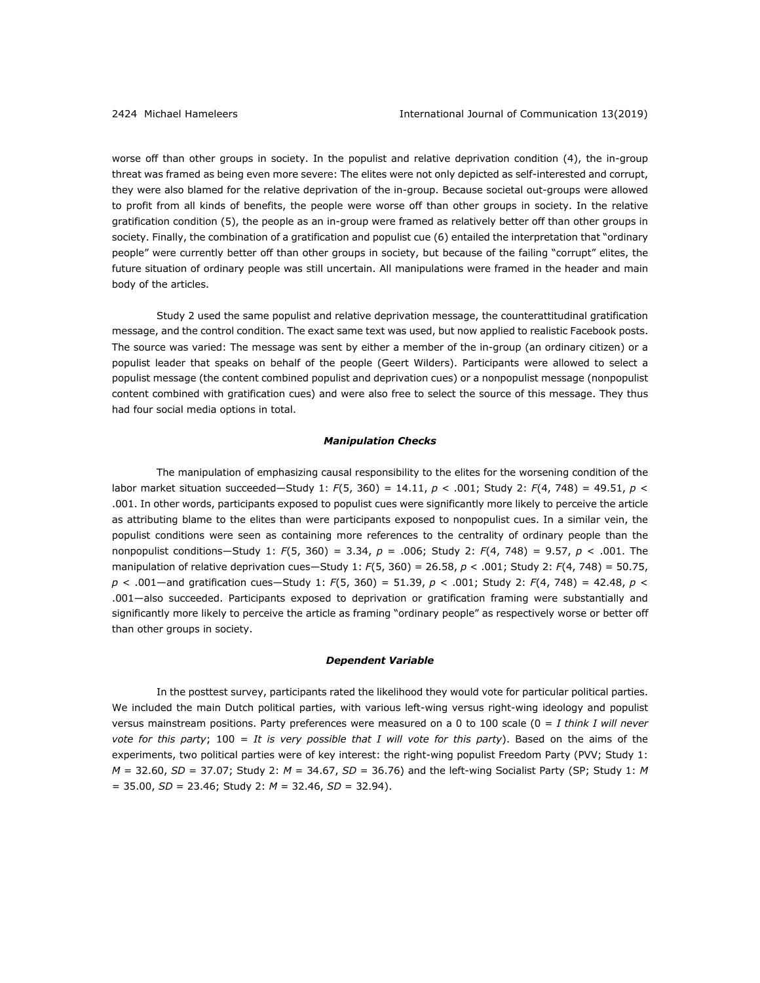worse off than other groups in society. In the populist and relative deprivation condition (4), the in-group threat was framed as being even more severe: The elites were not only depicted as self-interested and corrupt, they were also blamed for the relative deprivation of the in-group. Because societal out-groups were allowed to profit from all kinds of benefits, the people were worse off than other groups in society. In the relative gratification condition (5), the people as an in-group were framed as relatively better off than other groups in society. Finally, the combination of a gratification and populist cue (6) entailed the interpretation that "ordinary people" were currently better off than other groups in society, but because of the failing "corrupt" elites, the future situation of ordinary people was still uncertain. All manipulations were framed in the header and main body of the articles.

Study 2 used the same populist and relative deprivation message, the counterattitudinal gratification message, and the control condition. The exact same text was used, but now applied to realistic Facebook posts. The source was varied: The message was sent by either a member of the in-group (an ordinary citizen) or a populist leader that speaks on behalf of the people (Geert Wilders). Participants were allowed to select a populist message (the content combined populist and deprivation cues) or a nonpopulist message (nonpopulist content combined with gratification cues) and were also free to select the source of this message. They thus had four social media options in total.

#### *Manipulation Checks*

The manipulation of emphasizing causal responsibility to the elites for the worsening condition of the labor market situation succeeded—Study 1: *F*(5, 360) = 14.11, *p* < .001; Study 2: *F*(4, 748) = 49.51, *p* < .001. In other words, participants exposed to populist cues were significantly more likely to perceive the article as attributing blame to the elites than were participants exposed to nonpopulist cues. In a similar vein, the populist conditions were seen as containing more references to the centrality of ordinary people than the nonpopulist conditions—Study 1: *F*(5, 360) = 3.34, *p* = .006; Study 2: *F*(4, 748) = 9.57, *p* < .001. The manipulation of relative deprivation cues—Study 1: *F*(5, 360) = 26.58, *p* < .001; Study 2: *F*(4, 748) = 50.75, *p* < .001—and gratification cues—Study 1: *F*(5, 360) = 51.39, *p* < .001; Study 2: *F*(4, 748) = 42.48, *p* < .001—also succeeded. Participants exposed to deprivation or gratification framing were substantially and significantly more likely to perceive the article as framing "ordinary people" as respectively worse or better off than other groups in society.

#### *Dependent Variable*

In the posttest survey, participants rated the likelihood they would vote for particular political parties. We included the main Dutch political parties, with various left-wing versus right-wing ideology and populist versus mainstream positions. Party preferences were measured on a 0 to 100 scale (0 = *I think I will never vote for this party*; 100 = *It is very possible that I will vote for this party*). Based on the aims of the experiments, two political parties were of key interest: the right-wing populist Freedom Party (PVV; Study 1: *M* = 32.60, *SD* = 37.07; Study 2: *M* = 34.67, *SD* = 36.76) and the left-wing Socialist Party (SP; Study 1: *M* = 35.00, *SD* = 23.46; Study 2: *M* = 32.46, *SD* = 32.94).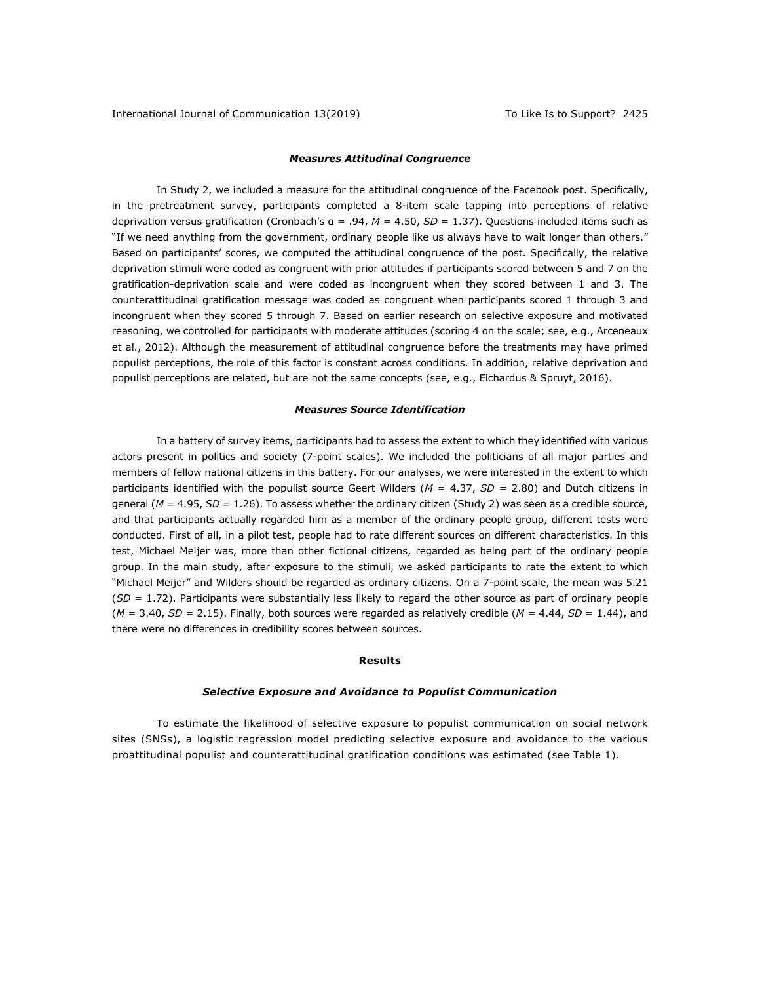#### *Measures Attitudinal Congruence*

In Study 2, we included a measure for the attitudinal congruence of the Facebook post. Specifically, in the pretreatment survey, participants completed a 8-item scale tapping into perceptions of relative deprivation versus gratification (Cronbach's α = .94, *M* = 4.50, *SD* = 1.37). Questions included items such as "If we need anything from the government, ordinary people like us always have to wait longer than others." Based on participants' scores, we computed the attitudinal congruence of the post. Specifically, the relative deprivation stimuli were coded as congruent with prior attitudes if participants scored between 5 and 7 on the gratification-deprivation scale and were coded as incongruent when they scored between 1 and 3. The counterattitudinal gratification message was coded as congruent when participants scored 1 through 3 and incongruent when they scored 5 through 7. Based on earlier research on selective exposure and motivated reasoning, we controlled for participants with moderate attitudes (scoring 4 on the scale; see, e.g., Arceneaux et al., 2012). Although the measurement of attitudinal congruence before the treatments may have primed populist perceptions, the role of this factor is constant across conditions. In addition, relative deprivation and populist perceptions are related, but are not the same concepts (see, e.g., Elchardus & Spruyt, 2016).

#### *Measures Source Identification*

In a battery of survey items, participants had to assess the extent to which they identified with various actors present in politics and society (7-point scales). We included the politicians of all major parties and members of fellow national citizens in this battery. For our analyses, we were interested in the extent to which participants identified with the populist source Geert Wilders (*M* = 4.37, *SD* = 2.80) and Dutch citizens in general (*M* = 4.95, *SD* = 1.26). To assess whether the ordinary citizen (Study 2) was seen as a credible source, and that participants actually regarded him as a member of the ordinary people group, different tests were conducted. First of all, in a pilot test, people had to rate different sources on different characteristics. In this test, Michael Meijer was, more than other fictional citizens, regarded as being part of the ordinary people group. In the main study, after exposure to the stimuli, we asked participants to rate the extent to which "Michael Meijer" and Wilders should be regarded as ordinary citizens. On a 7-point scale, the mean was 5.21 (*SD* = 1.72). Participants were substantially less likely to regard the other source as part of ordinary people  $(M = 3.40, SD = 2.15)$ . Finally, both sources were regarded as relatively credible  $(M = 4.44, SD = 1.44)$ , and there were no differences in credibility scores between sources.

#### **Results**

#### *Selective Exposure and Avoidance to Populist Communication*

To estimate the likelihood of selective exposure to populist communication on social network sites (SNSs), a logistic regression model predicting selective exposure and avoidance to the various proattitudinal populist and counterattitudinal gratification conditions was estimated (see Table 1).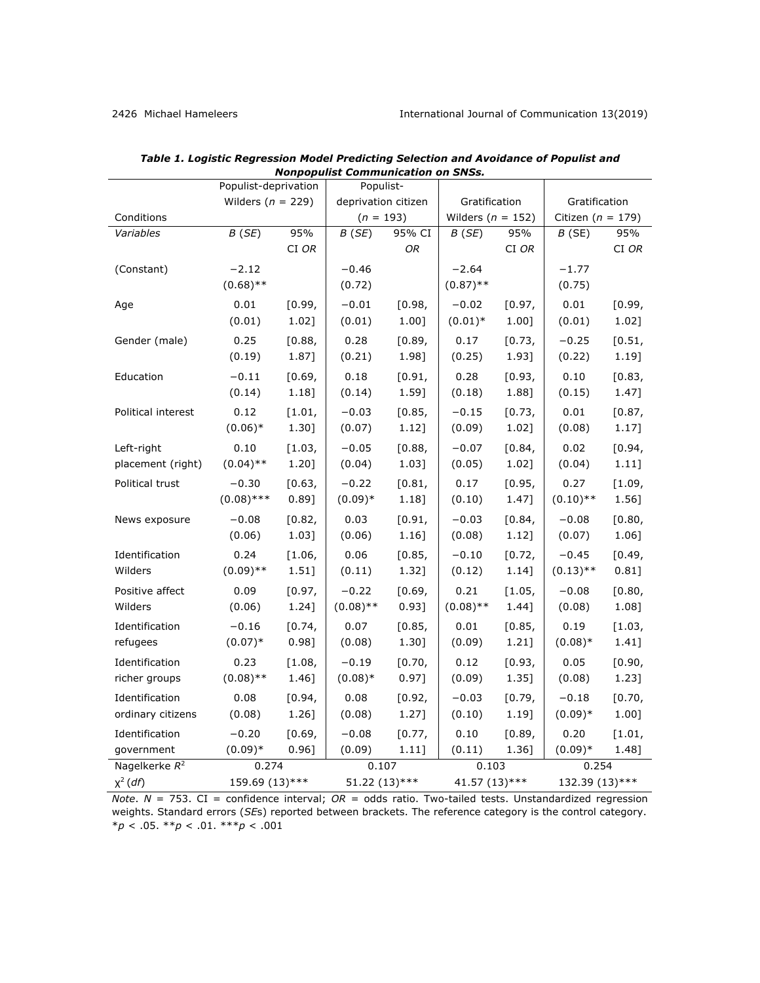|                    | Populist-deprivation  |        | Populist-           |        |               |                       |                |                       |  |
|--------------------|-----------------------|--------|---------------------|--------|---------------|-----------------------|----------------|-----------------------|--|
|                    | Wilders ( $n = 229$ ) |        | deprivation citizen |        | Gratification |                       | Gratification  |                       |  |
| Conditions         |                       |        | $(n = 193)$         |        |               | Wilders ( $n = 152$ ) |                | Citizen ( $n = 179$ ) |  |
| Variables          | B(SE)                 | 95%    | B(SE)               | 95% CI | B(SE)         | 95%                   | B(SE)          | 95%                   |  |
|                    |                       | CI OR  |                     | OR     |               | CI OR                 |                | CI OR                 |  |
| (Constant)         | $-2.12$               |        | $-0.46$             |        | $-2.64$       |                       | $-1.77$        |                       |  |
|                    | $(0.68)$ **           |        | (0.72)              |        | $(0.87)$ **   |                       | (0.75)         |                       |  |
| Age                | 0.01                  | [0.99, | $-0.01$             | [0.98, | $-0.02$       | [0.97,                | 0.01           | [0.99,                |  |
|                    | (0.01)                | 1.02]  | (0.01)              | 1.00]  | $(0.01)^*$    | 1.00]                 | (0.01)         | 1.02]                 |  |
| Gender (male)      | 0.25                  | [0.88, | 0.28                | [0.89, | 0.17          | [0.73,                | $-0.25$        | [0.51,                |  |
|                    | (0.19)                | 1.87]  | (0.21)              | 1.98]  | (0.25)        | 1.93]                 | (0.22)         | 1.19]                 |  |
|                    |                       |        |                     |        |               |                       |                |                       |  |
| Education          | $-0.11$               | [0.69, | 0.18                | [0.91, | 0.28          | [0.93,                | 0.10           | [0.83,                |  |
|                    | (0.14)                | 1.18]  | (0.14)              | 1.59]  | (0.18)        | 1.88]                 | (0.15)         | 1.47]                 |  |
| Political interest | 0.12                  | [1.01, | $-0.03$             | [0.85, | $-0.15$       | [0.73,                | 0.01           | [0.87,                |  |
|                    | $(0.06)*$             | 1.30]  | (0.07)              | 1.12]  | (0.09)        | 1.02]                 | (0.08)         | 1.17]                 |  |
| Left-right         | 0.10                  | [1.03, | $-0.05$             | [0.88, | $-0.07$       | [0.84,                | 0.02           | [0.94,                |  |
| placement (right)  | $(0.04)$ **           | 1.20]  | (0.04)              | 1.03]  | (0.05)        | 1.02]                 | (0.04)         | 1.11]                 |  |
| Political trust    | $-0.30$               | [0.63, | $-0.22$             | [0.81, | 0.17          | [0.95,                | 0.27           | [1.09,                |  |
|                    | $(0.08)$ ***          | 0.89]  | $(0.09)*$           | 1.18]  | (0.10)        | 1.47]                 | $(0.10)$ **    | 1.56]                 |  |
| News exposure      | $-0.08$               | [0.82, | 0.03                | [0.91, | $-0.03$       | [0.84,                | $-0.08$        | [0.80,                |  |
|                    | (0.06)                | 1.03]  | (0.06)              | 1.16]  | (0.08)        | 1.12]                 | (0.07)         | 1.06]                 |  |
| Identification     | 0.24                  | [1.06, | 0.06                | [0.85, | $-0.10$       | [0.72,                | $-0.45$        | [0.49,                |  |
| Wilders            | $(0.09)$ **           | 1.51]  | (0.11)              | 1.32]  | (0.12)        | 1.14]                 | $(0.13)$ **    | 0.81]                 |  |
| Positive affect    | 0.09                  | [0.97, | $-0.22$             | [0.69, | 0.21          | [1.05,                | $-0.08$        | [0.80,                |  |
| Wilders            | (0.06)                | 1.24]  | $(0.08)$ **         | 0.93]  | $(0.08)$ **   | 1.44]                 | (0.08)         | 1.08]                 |  |
| Identification     | $-0.16$               | [0.74, | 0.07                | [0.85, | 0.01          | [0.85,                | 0.19           | [1.03,                |  |
| refugees           | $(0.07)*$             | 0.98]  | (0.08)              | 1.30]  | (0.09)        | $1.21$ ]              | $(0.08)*$      | 1.41]                 |  |
| Identification     | 0.23                  | [1.08, | $-0.19$             | [0.70, | 0.12          | [0.93,                | 0.05           | [0.90,                |  |
| richer groups      | $(0.08)$ **           | 1.46]  | $(0.08)*$           | 0.97]  | (0.09)        | 1.35]                 | (0.08)         | 1.23]                 |  |
|                    |                       |        |                     |        |               |                       |                |                       |  |
| Identification     | 0.08                  | [0.94, | 0.08                | [0.92, | $-0.03$       | [0.79,                | $-0.18$        | [0.70,                |  |
| ordinary citizens  | (0.08)                | 1.26]  | (0.08)              | 1.27]  | (0.10)        | 1.19]                 | $(0.09)*$      | 1.00]                 |  |
| Identification     | $-0.20$               | [0.69, | $-0.08$             | [0.77, | 0.10          | [0.89,                | 0.20           | [1.01,                |  |
| government         | $(0.09)*$             | 0.96]  | (0.09)              | 1.11]  | (0.11)        | 1.36]                 | $(0.09)*$      | 1.48]                 |  |
| Nagelkerke $R^2$   | 0.274                 |        | 0.107               |        | 0.103         |                       | 0.254          |                       |  |
| $\chi^2$ (df)      | 159.69 (13)***        |        | 51.22 (13)***       |        | 41.57 (13)*** |                       | 132.39 (13)*** |                       |  |

*Table 1. Logistic Regression Model Predicting Selection and Avoidance of Populist and Nonpopulist Communication on SNSs.*

*Note*. *N* = 753. CI = confidence interval; *OR* = odds ratio. Two-tailed tests. Unstandardized regression weights. Standard errors (*SE*s) reported between brackets. The reference category is the control category. \**p* < .05. \*\**p* < .01. \*\*\**p* < .001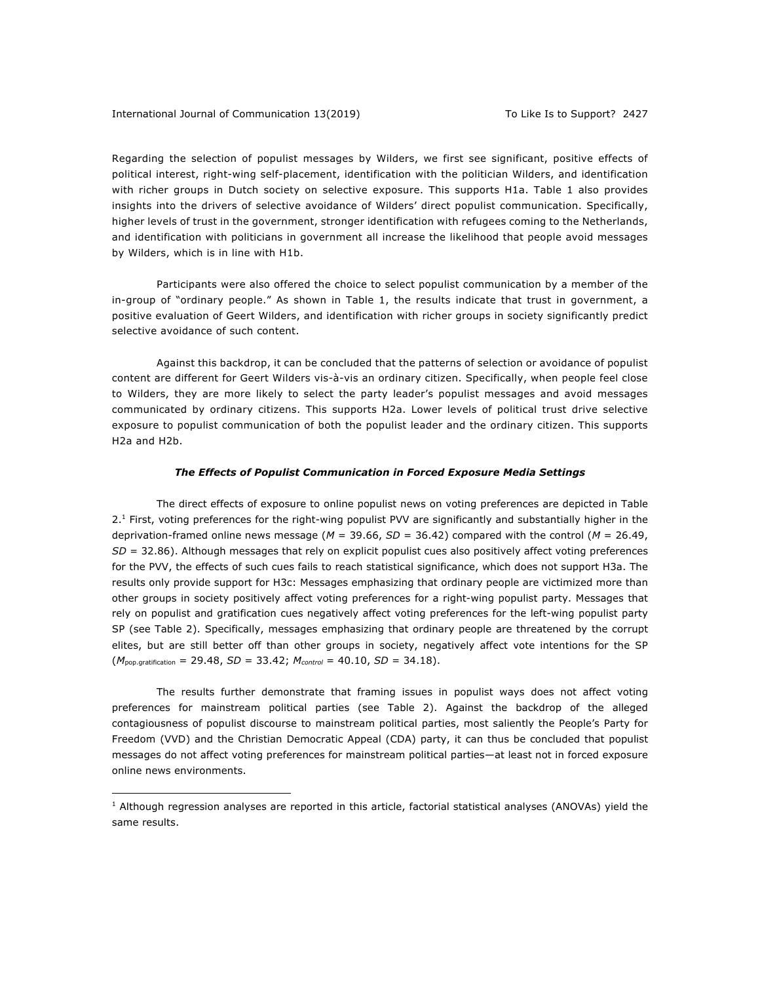1

Regarding the selection of populist messages by Wilders, we first see significant, positive effects of political interest, right-wing self-placement, identification with the politician Wilders, and identification with richer groups in Dutch society on selective exposure. This supports H1a. Table 1 also provides insights into the drivers of selective avoidance of Wilders' direct populist communication. Specifically, higher levels of trust in the government, stronger identification with refugees coming to the Netherlands, and identification with politicians in government all increase the likelihood that people avoid messages by Wilders, which is in line with H1b.

Participants were also offered the choice to select populist communication by a member of the in-group of "ordinary people." As shown in Table 1, the results indicate that trust in government, a positive evaluation of Geert Wilders, and identification with richer groups in society significantly predict selective avoidance of such content.

Against this backdrop, it can be concluded that the patterns of selection or avoidance of populist content are different for Geert Wilders vis-à-vis an ordinary citizen. Specifically, when people feel close to Wilders, they are more likely to select the party leader's populist messages and avoid messages communicated by ordinary citizens. This supports H2a. Lower levels of political trust drive selective exposure to populist communication of both the populist leader and the ordinary citizen. This supports H2a and H2b.

#### *The Effects of Populist Communication in Forced Exposure Media Settings*

The direct effects of exposure to online populist news on voting preferences are depicted in Table 2.1 First, voting preferences for the right-wing populist PVV are significantly and substantially higher in the deprivation-framed online news message (*M* = 39.66, *SD* = 36.42) compared with the control (*M* = 26.49, *SD* = 32.86). Although messages that rely on explicit populist cues also positively affect voting preferences for the PVV, the effects of such cues fails to reach statistical significance, which does not support H3a. The results only provide support for H3c: Messages emphasizing that ordinary people are victimized more than other groups in society positively affect voting preferences for a right-wing populist party. Messages that rely on populist and gratification cues negatively affect voting preferences for the left-wing populist party SP (see Table 2). Specifically, messages emphasizing that ordinary people are threatened by the corrupt elites, but are still better off than other groups in society, negatively affect vote intentions for the SP (*M*pop.gratification = 29.48, *SD* = 33.42; *Mcontrol* = 40.10, *SD* = 34.18).

The results further demonstrate that framing issues in populist ways does not affect voting preferences for mainstream political parties (see Table 2). Against the backdrop of the alleged contagiousness of populist discourse to mainstream political parties, most saliently the People's Party for Freedom (VVD) and the Christian Democratic Appeal (CDA) party, it can thus be concluded that populist messages do not affect voting preferences for mainstream political parties—at least not in forced exposure online news environments.

 $1$  Although regression analyses are reported in this article, factorial statistical analyses (ANOVAs) yield the same results.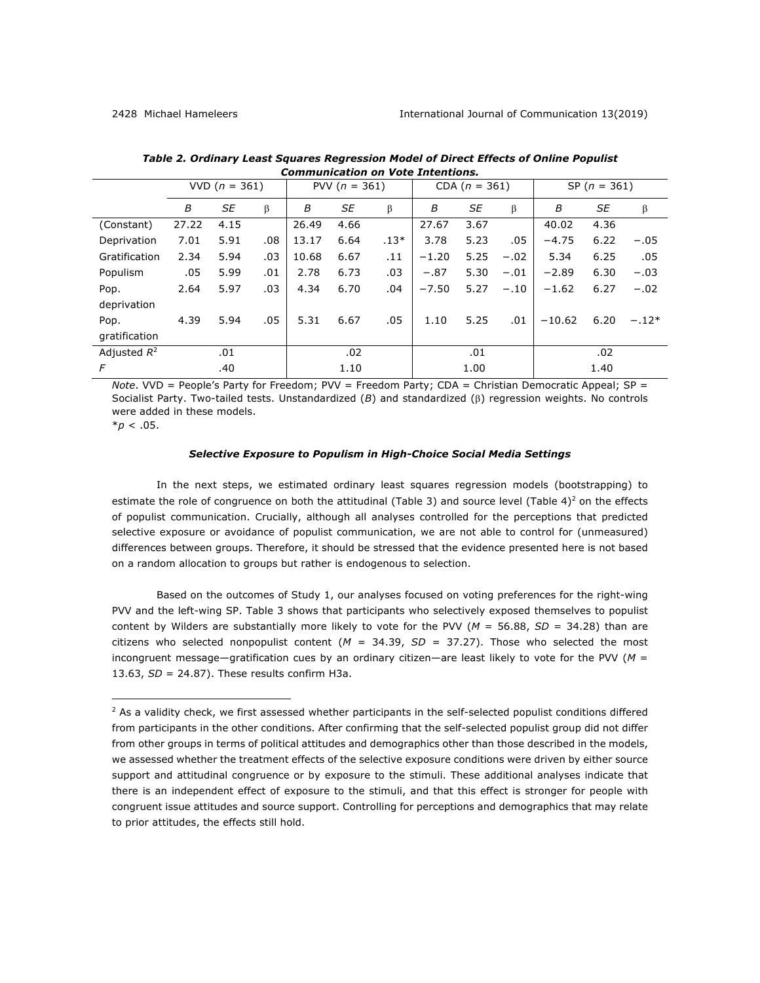|                | VVD $(n = 361)$ |      |     | PVV $(n = 361)$ |      |        | CDA $(n = 361)$ |      |        | SP $(n = 361)$ |      |         |
|----------------|-----------------|------|-----|-----------------|------|--------|-----------------|------|--------|----------------|------|---------|
|                | B               | SE   | β   | В               | SE   | β      | В               | SE   | β      | В              | SE   | β       |
| (Constant)     | 27.22           | 4.15 |     | 26.49           | 4.66 |        | 27.67           | 3.67 |        | 40.02          | 4.36 |         |
| Deprivation    | 7.01            | 5.91 | .08 | 13.17           | 6.64 | $.13*$ | 3.78            | 5.23 | .05    | $-4.75$        | 6.22 | $-.05$  |
| Gratification  | 2.34            | 5.94 | .03 | 10.68           | 6.67 | .11    | $-1.20$         | 5.25 | $-.02$ | 5.34           | 6.25 | .05     |
| Populism       | .05             | 5.99 | .01 | 2.78            | 6.73 | .03    | $-.87$          | 5.30 | $-.01$ | $-2.89$        | 6.30 | $-.03$  |
| Pop.           | 2.64            | 5.97 | .03 | 4.34            | 6.70 | .04    | $-7.50$         | 5.27 | $-.10$ | $-1.62$        | 6.27 | $-.02$  |
| deprivation    |                 |      |     |                 |      |        |                 |      |        |                |      |         |
| Pop.           | 4.39            | 5.94 | .05 | 5.31            | 6.67 | .05    | 1.10            | 5.25 | .01    | $-10.62$       | 6.20 | $-.12*$ |
| gratification  |                 |      |     |                 |      |        |                 |      |        |                |      |         |
| Adjusted $R^2$ |                 | .01  |     |                 | .02  |        |                 | .01  |        |                | .02  |         |
| F              |                 | .40  |     |                 | 1.10 |        |                 | 1.00 |        |                | 1.40 |         |

*Table 2. Ordinary Least Squares Regression Model of Direct Effects of Online Populist Communication on Vote Intentions.*

*Note*. VVD = People's Party for Freedom; PVV = Freedom Party; CDA = Christian Democratic Appeal; SP = Socialist Party. Two-tailed tests. Unstandardized (*B*) and standardized (b) regression weights. No controls were added in these models.

 $*$ *p* < .05.

<u>.</u>

#### *Selective Exposure to Populism in High-Choice Social Media Settings*

In the next steps, we estimated ordinary least squares regression models (bootstrapping) to estimate the role of congruence on both the attitudinal (Table 3) and source level (Table  $4$ )<sup>2</sup> on the effects of populist communication. Crucially, although all analyses controlled for the perceptions that predicted selective exposure or avoidance of populist communication, we are not able to control for (unmeasured) differences between groups. Therefore, it should be stressed that the evidence presented here is not based on a random allocation to groups but rather is endogenous to selection.

Based on the outcomes of Study 1, our analyses focused on voting preferences for the right-wing PVV and the left-wing SP. Table 3 shows that participants who selectively exposed themselves to populist content by Wilders are substantially more likely to vote for the PVV (*M* = 56.88, *SD* = 34.28) than are citizens who selected nonpopulist content  $(M = 34.39, SD = 37.27)$ . Those who selected the most incongruent message—gratification cues by an ordinary citizen—are least likely to vote for the PVV (*M* = 13.63, *SD* = 24.87). These results confirm H3a.

 $<sup>2</sup>$  As a validity check, we first assessed whether participants in the self-selected populist conditions differed</sup> from participants in the other conditions. After confirming that the self-selected populist group did not differ from other groups in terms of political attitudes and demographics other than those described in the models, we assessed whether the treatment effects of the selective exposure conditions were driven by either source support and attitudinal congruence or by exposure to the stimuli. These additional analyses indicate that there is an independent effect of exposure to the stimuli, and that this effect is stronger for people with congruent issue attitudes and source support. Controlling for perceptions and demographics that may relate to prior attitudes, the effects still hold.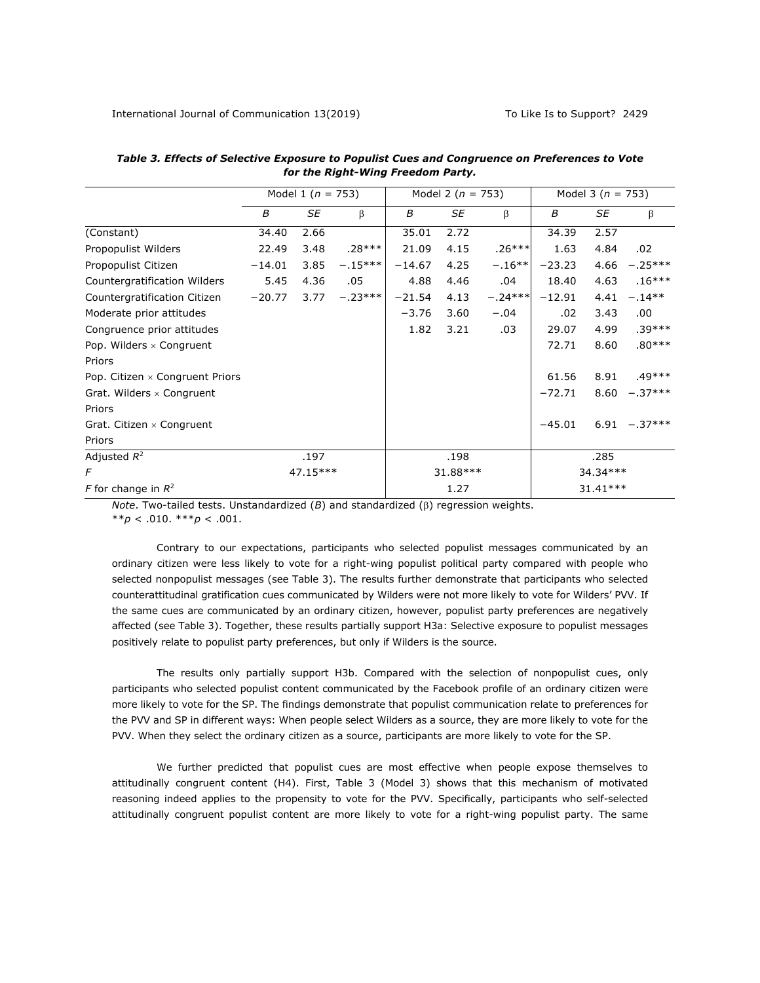|                                        | Model 1 ( $n = 753$ ) |          |           |          | Model 2 ( $n = 753$ ) |           | Model 3 ( $n = 753$ ) |            |                 |
|----------------------------------------|-----------------------|----------|-----------|----------|-----------------------|-----------|-----------------------|------------|-----------------|
|                                        | B                     | SE       | β         | B        | SE                    | β         | B                     | SE         | $\beta$         |
| (Constant)                             | 34.40                 | 2.66     |           | 35.01    | 2.72                  |           | 34.39                 | 2.57       |                 |
| Propopulist Wilders                    | 22.49                 | 3.48     | $.28***$  | 21.09    | 4.15                  | $.26***$  | 1.63                  | 4.84       | .02             |
| Propopulist Citizen                    | $-14.01$              | 3.85     | $-.15***$ | $-14.67$ | 4.25                  | $-.16**$  | $-23.23$              | 4.66       | $-.25***$       |
| Countergratification Wilders           | 5.45                  | 4.36     | .05       | 4.88     | 4.46                  | .04       | 18.40                 | 4.63       | $.16***$        |
| Countergratification Citizen           | $-20.77$              | 3.77     | $-.23***$ | $-21.54$ | 4.13                  | $-.24***$ | $-12.91$              | 4.41       | $-.14***$       |
| Moderate prior attitudes               |                       |          |           | $-3.76$  | 3.60                  | $-.04$    | .02                   | 3.43       | .00.            |
| Congruence prior attitudes             |                       |          |           | 1.82     | 3.21                  | .03       | 29.07                 | 4.99       | $.39***$        |
| Pop. Wilders $\times$ Congruent        |                       |          |           |          |                       |           | 72.71                 | 8.60       | $.80***$        |
| Priors                                 |                       |          |           |          |                       |           |                       |            |                 |
| Pop. Citizen $\times$ Congruent Priors |                       |          |           |          |                       |           | 61.56                 | 8.91       | $.49***$        |
| Grat. Wilders $\times$ Congruent       |                       |          |           |          |                       |           | $-72.71$              | 8.60       | $-.37***$       |
| Priors                                 |                       |          |           |          |                       |           |                       |            |                 |
| Grat. Citizen $\times$ Congruent       |                       |          |           |          |                       |           | $-45.01$              |            | $6.91 - .37***$ |
| Priors                                 |                       |          |           |          |                       |           |                       |            |                 |
| Adjusted $R^2$                         | .197                  |          | .198      |          |                       | .285      |                       |            |                 |
| 47.15***<br>F                          |                       | 31.88*** |           |          | 34.34***              |           |                       |            |                 |
| F for change in $R^2$                  |                       |          |           |          | 1.27                  |           |                       | $31.41***$ |                 |

*Table 3. Effects of Selective Exposure to Populist Cues and Congruence on Preferences to Vote for the Right-Wing Freedom Party.*

*Note*. Two-tailed tests. Unstandardized  $(B)$  and standardized  $(\beta)$  regression weights. \*\**p* < .010. \*\*\**p* < .001.

Contrary to our expectations, participants who selected populist messages communicated by an ordinary citizen were less likely to vote for a right-wing populist political party compared with people who selected nonpopulist messages (see Table 3). The results further demonstrate that participants who selected counterattitudinal gratification cues communicated by Wilders were not more likely to vote for Wilders' PVV. If the same cues are communicated by an ordinary citizen, however, populist party preferences are negatively affected (see Table 3). Together, these results partially support H3a: Selective exposure to populist messages positively relate to populist party preferences, but only if Wilders is the source.

The results only partially support H3b. Compared with the selection of nonpopulist cues, only participants who selected populist content communicated by the Facebook profile of an ordinary citizen were more likely to vote for the SP. The findings demonstrate that populist communication relate to preferences for the PVV and SP in different ways: When people select Wilders as a source, they are more likely to vote for the PVV. When they select the ordinary citizen as a source, participants are more likely to vote for the SP.

We further predicted that populist cues are most effective when people expose themselves to attitudinally congruent content (H4). First, Table 3 (Model 3) shows that this mechanism of motivated reasoning indeed applies to the propensity to vote for the PVV. Specifically, participants who self-selected attitudinally congruent populist content are more likely to vote for a right-wing populist party. The same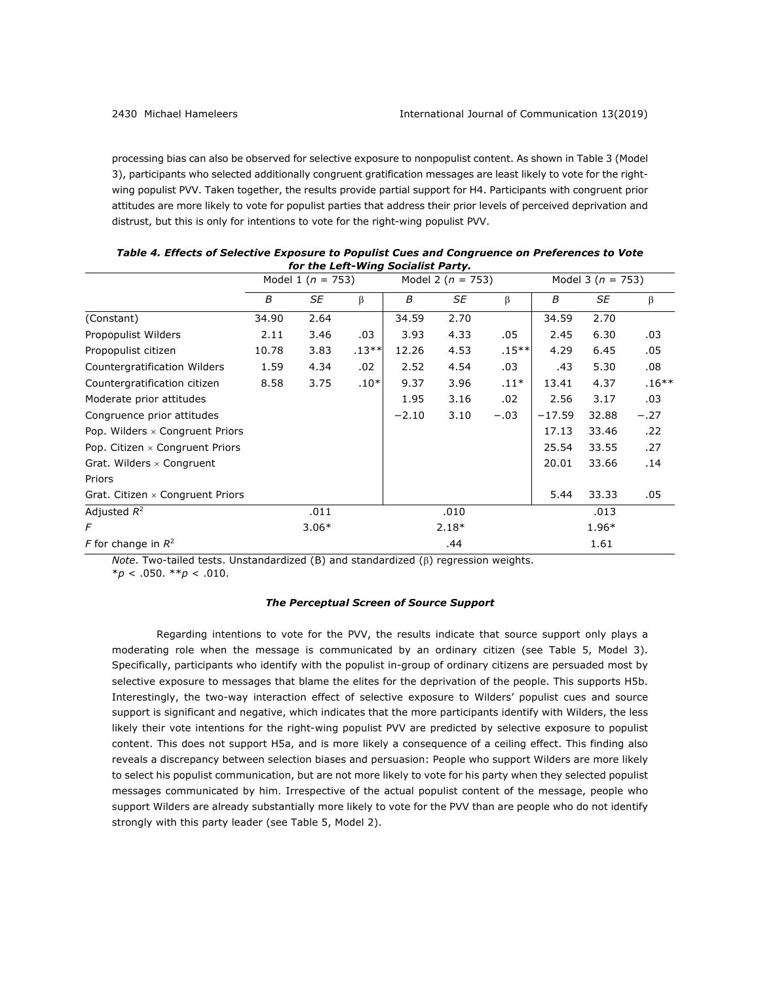processing bias can also be observed for selective exposure to nonpopulist content. As shown in Table 3 (Model 3), participants who selected additionally congruent gratification messages are least likely to vote for the rightwing populist PVV. Taken together, the results provide partial support for H4. Participants with congruent prior attitudes are more likely to vote for populist parties that address their prior levels of perceived deprivation and distrust, but this is only for intentions to vote for the right-wing populist PVV.

|                                        |       | Model 1 ( $n = 753$ ) |         |         | Model 2 ( $n = 753$ ) |          | Model 3 ( $n = 753$ ) |       |         |
|----------------------------------------|-------|-----------------------|---------|---------|-----------------------|----------|-----------------------|-------|---------|
|                                        | B     | SE                    | β       | B       | SE                    | β        | B                     | SE    | $\beta$ |
| (Constant)                             | 34.90 | 2.64                  |         | 34.59   | 2.70                  |          | 34.59                 | 2.70  |         |
| Propopulist Wilders                    | 2.11  | 3.46                  | .03     | 3.93    | 4.33                  | .05      | 2.45                  | 6.30  | .03     |
| Propopulist citizen                    | 10.78 | 3.83                  | $.13**$ | 12.26   | 4.53                  | $.15***$ | 4.29                  | 6.45  | .05     |
| Countergratification Wilders           | 1.59  | 4.34                  | .02     | 2.52    | 4.54                  | .03      | .43                   | 5.30  | .08     |
| Countergratification citizen           | 8.58  | 3.75                  | $.10*$  | 9.37    | 3.96                  | $.11*$   | 13.41                 | 4.37  | $.16**$ |
| Moderate prior attitudes               |       |                       |         | 1.95    | 3.16                  | .02      | 2.56                  | 3.17  | .03     |
| Congruence prior attitudes             |       |                       |         | $-2.10$ | 3.10                  | $-.03$   | $-17.59$              | 32.88 | $-.27$  |
| Pop. Wilders $\times$ Congruent Priors |       |                       |         |         |                       |          | 17.13                 | 33.46 | .22     |
| Pop. Citizen x Congruent Priors        |       |                       |         |         |                       |          | 25.54                 | 33.55 | .27     |
| Grat. Wilders $\times$ Congruent       |       |                       |         |         |                       |          | 20.01                 | 33.66 | .14     |
| Priors                                 |       |                       |         |         |                       |          |                       |       |         |
| Grat. Citizen × Congruent Priors       |       |                       |         |         |                       |          | 5.44                  | 33.33 | .05     |
| Adjusted $R^2$                         |       | .011                  |         |         | .010                  |          |                       | .013  |         |
| F                                      |       | $3.06*$               |         |         | $2.18*$               |          |                       | 1.96* |         |
| F for change in $R^2$                  |       |                       |         |         | .44                   |          |                       | 1.61  |         |

| Table 4. Effects of Selective Exposure to Populist Cues and Congruence on Preferences to Vote |
|-----------------------------------------------------------------------------------------------|
| for the Left-Wing Socialist Party.                                                            |

*Note*. Two-tailed tests. Unstandardized  $(B)$  and standardized  $(\beta)$  regression weights. \**p* < .050. \*\**p* < .010.

## *The Perceptual Screen of Source Support*

Regarding intentions to vote for the PVV, the results indicate that source support only plays a moderating role when the message is communicated by an ordinary citizen (see Table 5, Model 3). Specifically, participants who identify with the populist in-group of ordinary citizens are persuaded most by selective exposure to messages that blame the elites for the deprivation of the people. This supports H5b. Interestingly, the two-way interaction effect of selective exposure to Wilders' populist cues and source support is significant and negative, which indicates that the more participants identify with Wilders, the less likely their vote intentions for the right-wing populist PVV are predicted by selective exposure to populist content. This does not support H5a, and is more likely a consequence of a ceiling effect. This finding also reveals a discrepancy between selection biases and persuasion: People who support Wilders are more likely to select his populist communication, but are not more likely to vote for his party when they selected populist messages communicated by him. Irrespective of the actual populist content of the message, people who support Wilders are already substantially more likely to vote for the PVV than are people who do not identify strongly with this party leader (see Table 5, Model 2).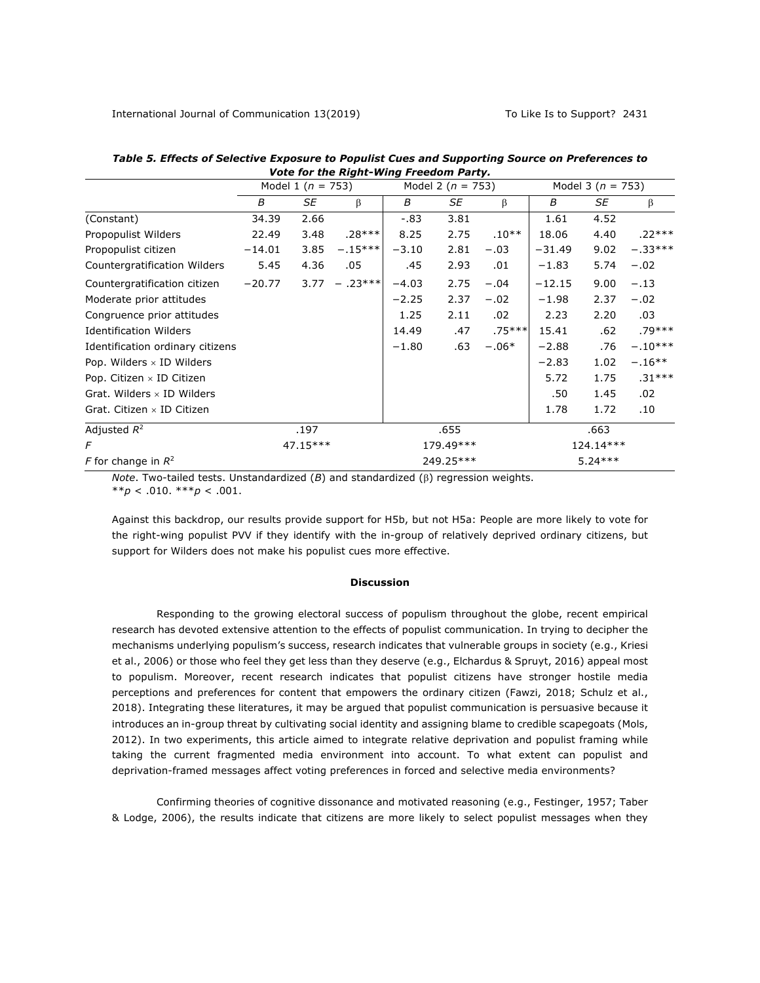|                                   |          | Model 1 ( $n = 753$ ) |           |         | Model 2 ( $n = 753$ ) |          | Model 3 ( $n = 753$ ) |           |           |
|-----------------------------------|----------|-----------------------|-----------|---------|-----------------------|----------|-----------------------|-----------|-----------|
|                                   | B        | SE                    | $\beta$   | В       | SE                    | β        | B                     | SE        | $\beta$   |
| (Constant)                        | 34.39    | 2.66                  |           | $-0.83$ | 3.81                  |          | 1.61                  | 4.52      |           |
| Propopulist Wilders               | 22.49    | 3.48                  | $.28***$  | 8.25    | 2.75                  | $.10**$  | 18.06                 | 4.40      | $.22***$  |
| Propopulist citizen               | $-14.01$ | 3.85                  | $-.15***$ | $-3.10$ | 2.81                  | $-.03$   | $-31.49$              | 9.02      | $-.33***$ |
| Countergratification Wilders      | 5.45     | 4.36                  | .05       | .45     | 2.93                  | .01      | $-1.83$               | 5.74      | $-.02$    |
| Countergratification citizen      | $-20.77$ | 3.77                  | $-.23***$ | $-4.03$ | 2.75                  | $-.04$   | $-12.15$              | 9.00      | $-.13$    |
| Moderate prior attitudes          |          |                       |           | $-2.25$ | 2.37                  | $-.02$   | $-1.98$               | 2.37      | $-.02$    |
| Congruence prior attitudes        |          |                       |           | 1.25    | 2.11                  | .02      | 2.23                  | 2.20      | .03       |
| <b>Identification Wilders</b>     |          |                       |           | 14.49   | .47                   | $.75***$ | 15.41                 | .62       | $.79***$  |
| Identification ordinary citizens  |          |                       |           | $-1.80$ | .63                   | $-.06*$  | $-2.88$               | .76       | $-.10***$ |
| Pop. Wilders $\times$ ID Wilders  |          |                       |           |         |                       |          | $-2.83$               | 1.02      | $-.16**$  |
| Pop. Citizen $\times$ ID Citizen  |          |                       |           |         |                       |          | 5.72                  | 1.75      | $.31***$  |
| Grat. Wilders $\times$ ID Wilders |          |                       |           |         |                       |          | .50                   | 1.45      | .02       |
| Grat. Citizen $\times$ ID Citizen |          |                       |           |         |                       |          | 1.78                  | 1.72      | .10       |
| Adjusted $R^2$                    | .197     |                       |           | .655    |                       |          | .663                  |           |           |
| 47.15***<br>F                     |          | 179.49***             |           |         | 124.14***             |          |                       |           |           |
| F for change in $R^2$             |          |                       |           |         | 249.25***             |          |                       | $5.24***$ |           |

*Table 5. Effects of Selective Exposure to Populist Cues and Supporting Source on Preferences to Vote for the Right-Wing Freedom Party.*

*Note*. Two-tailed tests. Unstandardized  $(B)$  and standardized  $(\beta)$  regression weights. \*\**p* < .010. \*\*\**p* < .001.

Against this backdrop, our results provide support for H5b, but not H5a: People are more likely to vote for the right-wing populist PVV if they identify with the in-group of relatively deprived ordinary citizens, but support for Wilders does not make his populist cues more effective.

#### **Discussion**

Responding to the growing electoral success of populism throughout the globe, recent empirical research has devoted extensive attention to the effects of populist communication. In trying to decipher the mechanisms underlying populism's success, research indicates that vulnerable groups in society (e.g., Kriesi et al., 2006) or those who feel they get less than they deserve (e.g., Elchardus & Spruyt, 2016) appeal most to populism. Moreover, recent research indicates that populist citizens have stronger hostile media perceptions and preferences for content that empowers the ordinary citizen (Fawzi, 2018; Schulz et al., 2018). Integrating these literatures, it may be argued that populist communication is persuasive because it introduces an in-group threat by cultivating social identity and assigning blame to credible scapegoats (Mols, 2012). In two experiments, this article aimed to integrate relative deprivation and populist framing while taking the current fragmented media environment into account. To what extent can populist and deprivation-framed messages affect voting preferences in forced and selective media environments?

Confirming theories of cognitive dissonance and motivated reasoning (e.g., Festinger, 1957; Taber & Lodge, 2006), the results indicate that citizens are more likely to select populist messages when they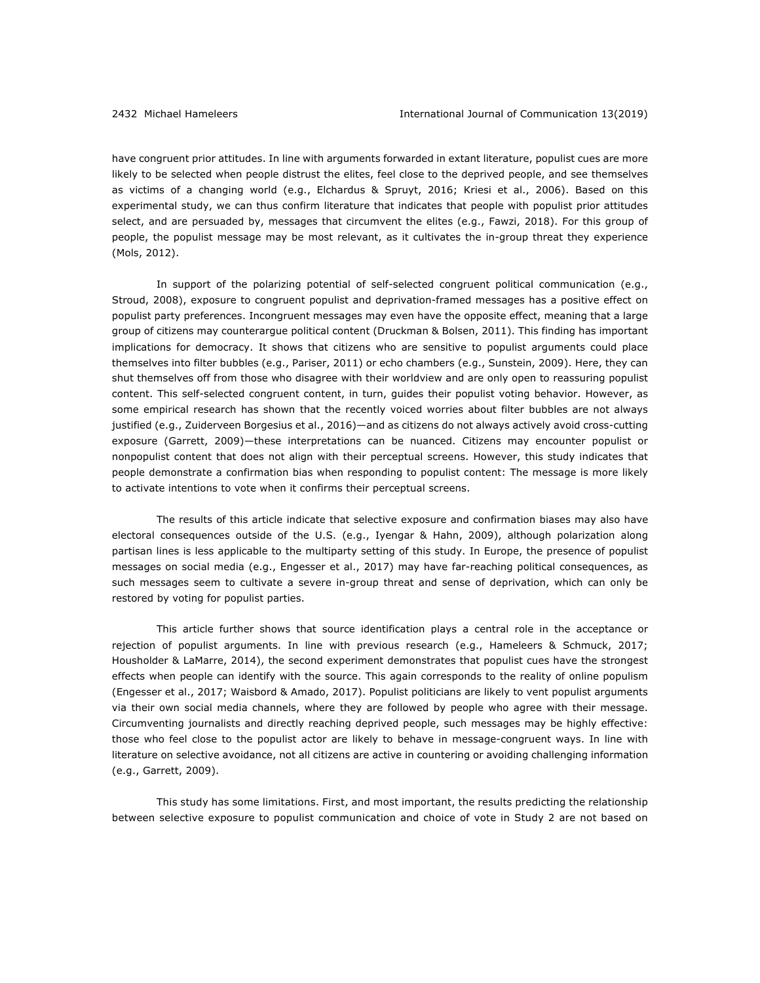have congruent prior attitudes. In line with arguments forwarded in extant literature, populist cues are more likely to be selected when people distrust the elites, feel close to the deprived people, and see themselves as victims of a changing world (e.g., Elchardus & Spruyt, 2016; Kriesi et al., 2006). Based on this experimental study, we can thus confirm literature that indicates that people with populist prior attitudes select, and are persuaded by, messages that circumvent the elites (e.g., Fawzi, 2018). For this group of people, the populist message may be most relevant, as it cultivates the in-group threat they experience (Mols, 2012).

In support of the polarizing potential of self-selected congruent political communication (e.g., Stroud, 2008), exposure to congruent populist and deprivation-framed messages has a positive effect on populist party preferences. Incongruent messages may even have the opposite effect, meaning that a large group of citizens may counterargue political content (Druckman & Bolsen, 2011). This finding has important implications for democracy. It shows that citizens who are sensitive to populist arguments could place themselves into filter bubbles (e.g., Pariser, 2011) or echo chambers (e.g., Sunstein, 2009). Here, they can shut themselves off from those who disagree with their worldview and are only open to reassuring populist content. This self-selected congruent content, in turn, guides their populist voting behavior. However, as some empirical research has shown that the recently voiced worries about filter bubbles are not always justified (e.g., Zuiderveen Borgesius et al., 2016)—and as citizens do not always actively avoid cross-cutting exposure (Garrett, 2009)—these interpretations can be nuanced. Citizens may encounter populist or nonpopulist content that does not align with their perceptual screens. However, this study indicates that people demonstrate a confirmation bias when responding to populist content: The message is more likely to activate intentions to vote when it confirms their perceptual screens.

The results of this article indicate that selective exposure and confirmation biases may also have electoral consequences outside of the U.S. (e.g., Iyengar & Hahn, 2009), although polarization along partisan lines is less applicable to the multiparty setting of this study. In Europe, the presence of populist messages on social media (e.g., Engesser et al., 2017) may have far-reaching political consequences, as such messages seem to cultivate a severe in-group threat and sense of deprivation, which can only be restored by voting for populist parties.

This article further shows that source identification plays a central role in the acceptance or rejection of populist arguments. In line with previous research (e.g., Hameleers & Schmuck, 2017; Housholder & LaMarre, 2014), the second experiment demonstrates that populist cues have the strongest effects when people can identify with the source. This again corresponds to the reality of online populism (Engesser et al., 2017; Waisbord & Amado, 2017). Populist politicians are likely to vent populist arguments via their own social media channels, where they are followed by people who agree with their message. Circumventing journalists and directly reaching deprived people, such messages may be highly effective: those who feel close to the populist actor are likely to behave in message-congruent ways. In line with literature on selective avoidance, not all citizens are active in countering or avoiding challenging information (e.g., Garrett, 2009).

This study has some limitations. First, and most important, the results predicting the relationship between selective exposure to populist communication and choice of vote in Study 2 are not based on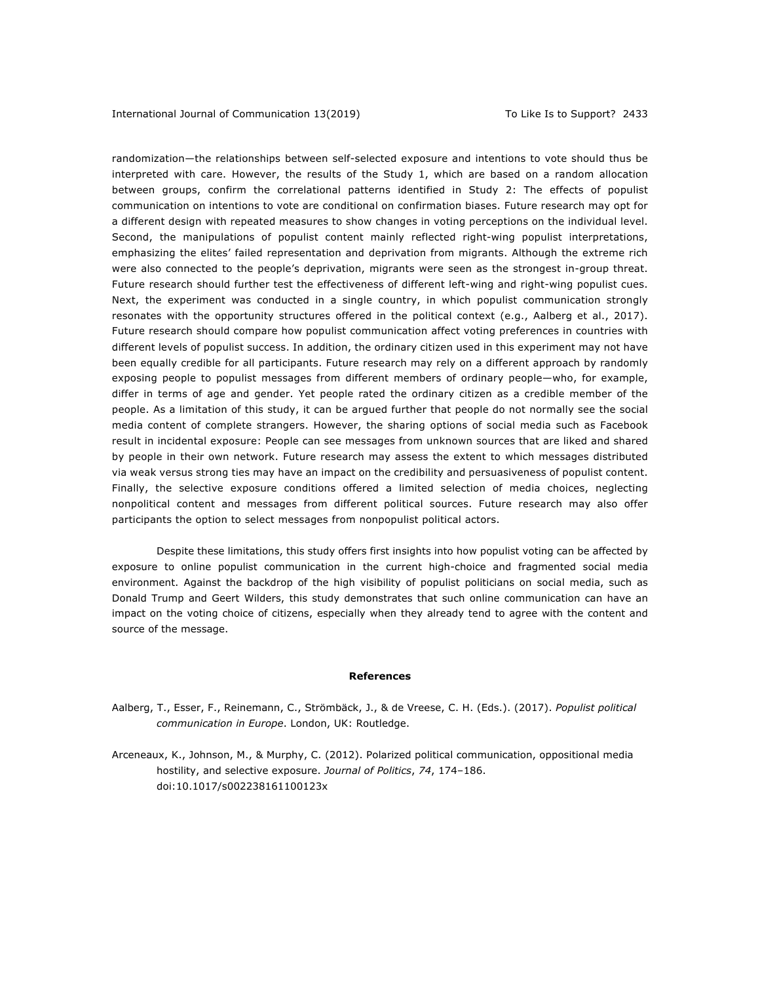randomization—the relationships between self-selected exposure and intentions to vote should thus be interpreted with care. However, the results of the Study 1, which are based on a random allocation between groups, confirm the correlational patterns identified in Study 2: The effects of populist communication on intentions to vote are conditional on confirmation biases. Future research may opt for a different design with repeated measures to show changes in voting perceptions on the individual level. Second, the manipulations of populist content mainly reflected right-wing populist interpretations, emphasizing the elites' failed representation and deprivation from migrants. Although the extreme rich were also connected to the people's deprivation, migrants were seen as the strongest in-group threat. Future research should further test the effectiveness of different left-wing and right-wing populist cues. Next, the experiment was conducted in a single country, in which populist communication strongly resonates with the opportunity structures offered in the political context (e.g., Aalberg et al., 2017). Future research should compare how populist communication affect voting preferences in countries with different levels of populist success. In addition, the ordinary citizen used in this experiment may not have been equally credible for all participants. Future research may rely on a different approach by randomly exposing people to populist messages from different members of ordinary people—who, for example, differ in terms of age and gender. Yet people rated the ordinary citizen as a credible member of the people. As a limitation of this study, it can be argued further that people do not normally see the social media content of complete strangers. However, the sharing options of social media such as Facebook result in incidental exposure: People can see messages from unknown sources that are liked and shared by people in their own network. Future research may assess the extent to which messages distributed via weak versus strong ties may have an impact on the credibility and persuasiveness of populist content. Finally, the selective exposure conditions offered a limited selection of media choices, neglecting nonpolitical content and messages from different political sources. Future research may also offer participants the option to select messages from nonpopulist political actors.

Despite these limitations, this study offers first insights into how populist voting can be affected by exposure to online populist communication in the current high-choice and fragmented social media environment. Against the backdrop of the high visibility of populist politicians on social media, such as Donald Trump and Geert Wilders, this study demonstrates that such online communication can have an impact on the voting choice of citizens, especially when they already tend to agree with the content and source of the message.

#### **References**

- Aalberg, T., Esser, F., Reinemann, C., Strömbäck, J., & de Vreese, C. H. (Eds.). (2017). *Populist political communication in Europe*. London, UK: Routledge.
- Arceneaux, K., Johnson, M., & Murphy, C. (2012). Polarized political communication, oppositional media hostility, and selective exposure. *Journal of Politics*, *74*, 174–186. doi:10.1017/s002238161100123x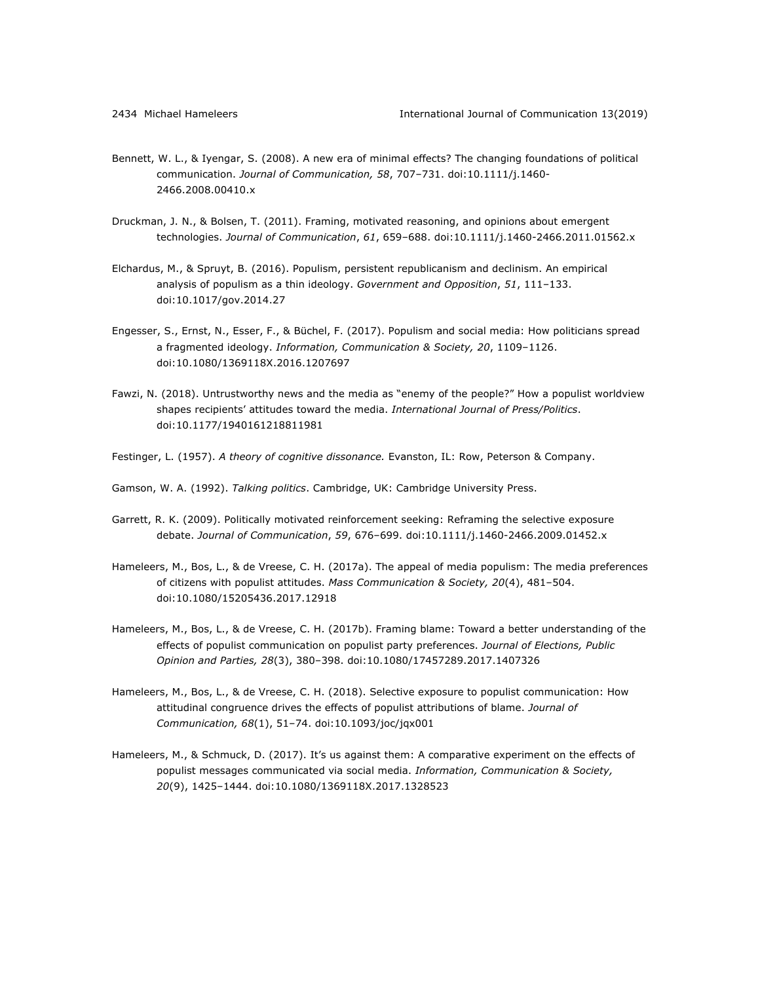- Bennett, W. L., & Iyengar, S. (2008). A new era of minimal effects? The changing foundations of political communication. *Journal of Communication, 58*, 707–731. doi:10.1111/j.1460- 2466.2008.00410.x
- Druckman, J. N., & Bolsen, T. (2011). Framing, motivated reasoning, and opinions about emergent technologies. *Journal of Communication*, *61*, 659–688. doi:10.1111/j.1460-2466.2011.01562.x
- Elchardus, M., & Spruyt, B. (2016). Populism, persistent republicanism and declinism. An empirical analysis of populism as a thin ideology. *Government and Opposition*, *51*, 111–133. doi:10.1017/gov.2014.27
- Engesser, S., Ernst, N., Esser, F., & Büchel, F. (2017). Populism and social media: How politicians spread a fragmented ideology. *Information, Communication & Society, 20*, 1109–1126. doi:10.1080/1369118X.2016.1207697
- Fawzi, N. (2018). Untrustworthy news and the media as "enemy of the people?" How a populist worldview shapes recipients' attitudes toward the media. *International Journal of Press/Politics*. doi:10.1177/1940161218811981
- Festinger, L. (1957). *A theory of cognitive dissonance.* Evanston, IL: Row, Peterson & Company.
- Gamson, W. A. (1992). *Talking politics*. Cambridge, UK: Cambridge University Press.
- Garrett, R. K. (2009). Politically motivated reinforcement seeking: Reframing the selective exposure debate. *Journal of Communication*, *59*, 676–699. doi:10.1111/j.1460-2466.2009.01452.x
- Hameleers, M., Bos, L., & de Vreese, C. H. (2017a). The appeal of media populism: The media preferences of citizens with populist attitudes. *Mass Communication & Society, 20*(4), 481–504. doi:10.1080/15205436.2017.12918
- Hameleers, M., Bos, L., & de Vreese, C. H. (2017b). Framing blame: Toward a better understanding of the effects of populist communication on populist party preferences. *Journal of Elections, Public Opinion and Parties, 28*(3), 380–398. doi:10.1080/17457289.2017.1407326
- Hameleers, M., Bos, L., & de Vreese, C. H. (2018). Selective exposure to populist communication: How attitudinal congruence drives the effects of populist attributions of blame. *Journal of Communication, 68*(1), 51–74. doi:10.1093/joc/jqx001
- Hameleers, M., & Schmuck, D. (2017). It's us against them: A comparative experiment on the effects of populist messages communicated via social media. *Information, Communication & Society, 20*(9), 1425–1444. doi:10.1080/1369118X.2017.1328523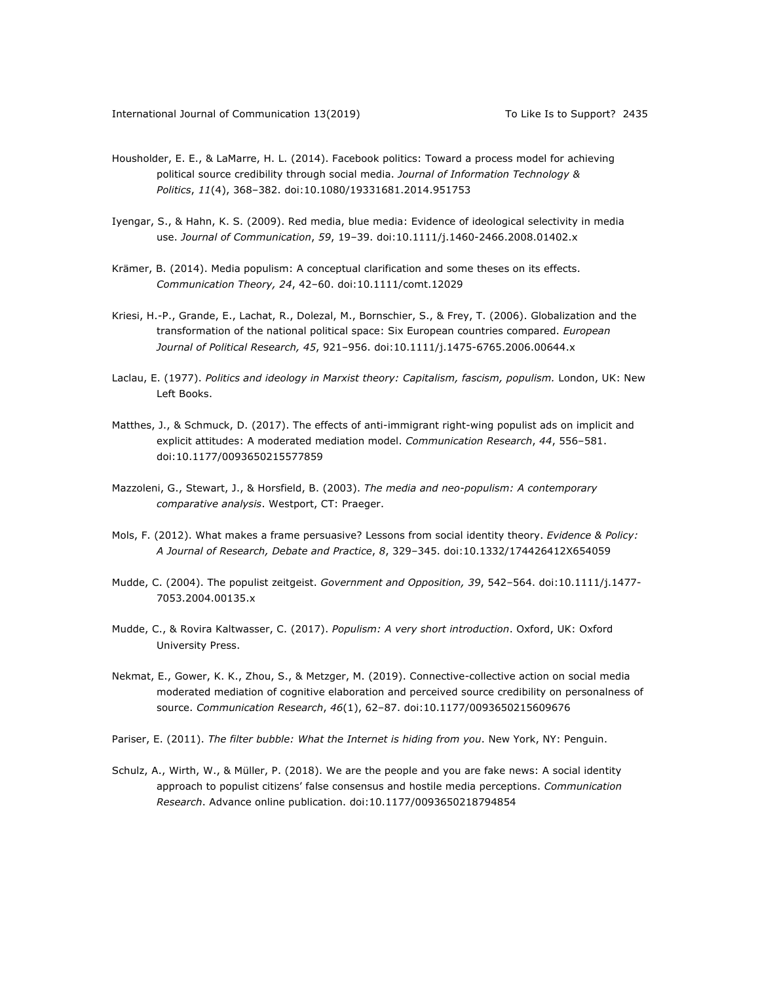- Housholder, E. E., & LaMarre, H. L. (2014). Facebook politics: Toward a process model for achieving political source credibility through social media. *Journal of Information Technology & Politics*, *11*(4), 368–382. doi:10.1080/19331681.2014.951753
- Iyengar, S., & Hahn, K. S. (2009). Red media, blue media: Evidence of ideological selectivity in media use. *Journal of Communication*, *59*, 19–39. doi:10.1111/j.1460-2466.2008.01402.x
- Krämer, B. (2014). Media populism: A conceptual clarification and some theses on its effects. *Communication Theory, 24*, 42–60. doi:10.1111/comt.12029
- Kriesi, H.-P., Grande, E., Lachat, R., Dolezal, M., Bornschier, S., & Frey, T. (2006). Globalization and the transformation of the national political space: Six European countries compared. *European Journal of Political Research, 45*, 921–956. doi:10.1111/j.1475-6765.2006.00644.x
- Laclau, E. (1977). *Politics and ideology in Marxist theory: Capitalism, fascism, populism.* London, UK: New Left Books.
- Matthes, J., & Schmuck, D. (2017). The effects of anti-immigrant right-wing populist ads on implicit and explicit attitudes: A moderated mediation model. *Communication Research*, *44*, 556–581. doi:10.1177/0093650215577859
- Mazzoleni, G., Stewart, J., & Horsfield, B. (2003). *The media and neo-populism: A contemporary comparative analysis*. Westport, CT: Praeger.
- Mols, F. (2012). What makes a frame persuasive? Lessons from social identity theory. *Evidence & Policy: A Journal of Research, Debate and Practice*, *8*, 329–345. doi:10.1332/174426412X654059
- Mudde, C. (2004). The populist zeitgeist. *Government and Opposition, 39*, 542–564. doi:10.1111/j.1477- 7053.2004.00135.x
- Mudde, C., & Rovira Kaltwasser, C. (2017). *Populism: A very short introduction*. Oxford, UK: Oxford University Press.
- Nekmat, E., Gower, K. K., Zhou, S., & Metzger, M. (2019). Connective-collective action on social media moderated mediation of cognitive elaboration and perceived source credibility on personalness of source. *Communication Research*, *46*(1), 62–87. doi:10.1177/0093650215609676
- Pariser, E. (2011). *The filter bubble: What the Internet is hiding from you*. New York, NY: Penguin.
- Schulz, A., Wirth, W., & Müller, P. (2018). We are the people and you are fake news: A social identity approach to populist citizens' false consensus and hostile media perceptions. *Communication Research*. Advance online publication. doi:10.1177/0093650218794854